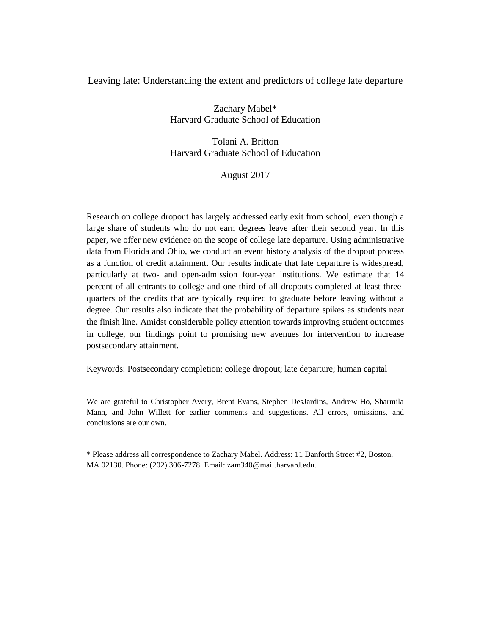# Leaving late: Understanding the extent and predictors of college late departure

Zachary Mabel\* Harvard Graduate School of Education

Tolani A. Britton Harvard Graduate School of Education

August 2017

Research on college dropout has largely addressed early exit from school, even though a large share of students who do not earn degrees leave after their second year. In this paper, we offer new evidence on the scope of college late departure. Using administrative data from Florida and Ohio, we conduct an event history analysis of the dropout process as a function of credit attainment. Our results indicate that late departure is widespread, particularly at two- and open-admission four-year institutions. We estimate that 14 percent of all entrants to college and one-third of all dropouts completed at least threequarters of the credits that are typically required to graduate before leaving without a degree. Our results also indicate that the probability of departure spikes as students near the finish line. Amidst considerable policy attention towards improving student outcomes in college, our findings point to promising new avenues for intervention to increase postsecondary attainment.

Keywords: Postsecondary completion; college dropout; late departure; human capital

We are grateful to Christopher Avery, Brent Evans, Stephen DesJardins, Andrew Ho, Sharmila Mann, and John Willett for earlier comments and suggestions. All errors, omissions, and conclusions are our own.

\* Please address all correspondence to Zachary Mabel. Address: 11 Danforth Street #2, Boston, MA 02130. Phone: (202) 306-7278. Email: zam340@mail.harvard.edu.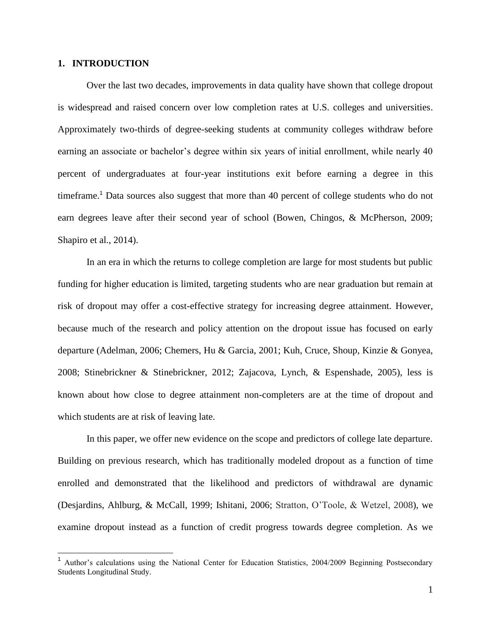## **1. INTRODUCTION**

Over the last two decades, improvements in data quality have shown that college dropout is widespread and raised concern over low completion rates at U.S. colleges and universities. Approximately two-thirds of degree-seeking students at community colleges withdraw before earning an associate or bachelor's degree within six years of initial enrollment, while nearly 40 percent of undergraduates at four-year institutions exit before earning a degree in this timeframe.<sup>1</sup> Data sources also suggest that more than 40 percent of college students who do not earn degrees leave after their second year of school (Bowen, Chingos, & McPherson, 2009; Shapiro et al., 2014).

In an era in which the returns to college completion are large for most students but public funding for higher education is limited, targeting students who are near graduation but remain at risk of dropout may offer a cost-effective strategy for increasing degree attainment. However, because much of the research and policy attention on the dropout issue has focused on early departure (Adelman, 2006; Chemers, Hu & Garcia, 2001; Kuh, Cruce, Shoup, Kinzie & Gonyea, 2008; Stinebrickner & Stinebrickner, 2012; Zajacova, Lynch, & Espenshade, 2005), less is known about how close to degree attainment non-completers are at the time of dropout and which students are at risk of leaving late.

In this paper, we offer new evidence on the scope and predictors of college late departure. Building on previous research, which has traditionally modeled dropout as a function of time enrolled and demonstrated that the likelihood and predictors of withdrawal are dynamic (Desjardins, Ahlburg, & McCall, 1999; Ishitani, 2006; Stratton, O'Toole, & Wetzel, 2008), we examine dropout instead as a function of credit progress towards degree completion. As we

Author's calculations using the National Center for Education Statistics, 2004/2009 Beginning Postsecondary Students Longitudinal Study.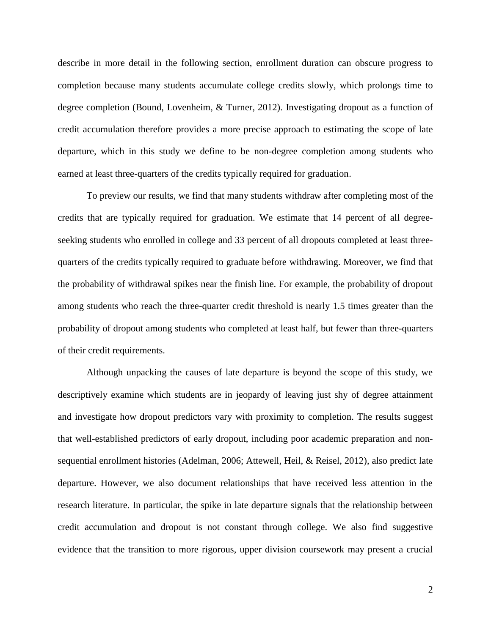describe in more detail in the following section, enrollment duration can obscure progress to completion because many students accumulate college credits slowly, which prolongs time to degree completion (Bound, Lovenheim, & Turner, 2012). Investigating dropout as a function of credit accumulation therefore provides a more precise approach to estimating the scope of late departure, which in this study we define to be non-degree completion among students who earned at least three-quarters of the credits typically required for graduation.

To preview our results, we find that many students withdraw after completing most of the credits that are typically required for graduation. We estimate that 14 percent of all degreeseeking students who enrolled in college and 33 percent of all dropouts completed at least threequarters of the credits typically required to graduate before withdrawing. Moreover, we find that the probability of withdrawal spikes near the finish line. For example, the probability of dropout among students who reach the three-quarter credit threshold is nearly 1.5 times greater than the probability of dropout among students who completed at least half, but fewer than three-quarters of their credit requirements.

Although unpacking the causes of late departure is beyond the scope of this study, we descriptively examine which students are in jeopardy of leaving just shy of degree attainment and investigate how dropout predictors vary with proximity to completion. The results suggest that well-established predictors of early dropout, including poor academic preparation and nonsequential enrollment histories (Adelman, 2006; Attewell, Heil, & Reisel, 2012), also predict late departure. However, we also document relationships that have received less attention in the research literature. In particular, the spike in late departure signals that the relationship between credit accumulation and dropout is not constant through college. We also find suggestive evidence that the transition to more rigorous, upper division coursework may present a crucial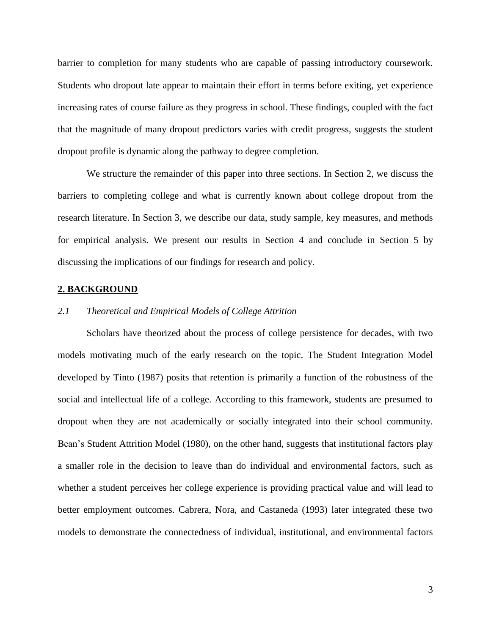barrier to completion for many students who are capable of passing introductory coursework. Students who dropout late appear to maintain their effort in terms before exiting, yet experience increasing rates of course failure as they progress in school. These findings, coupled with the fact that the magnitude of many dropout predictors varies with credit progress, suggests the student dropout profile is dynamic along the pathway to degree completion.

We structure the remainder of this paper into three sections. In Section 2, we discuss the barriers to completing college and what is currently known about college dropout from the research literature. In Section 3, we describe our data, study sample, key measures, and methods for empirical analysis. We present our results in Section 4 and conclude in Section 5 by discussing the implications of our findings for research and policy.

#### **2. BACKGROUND**

#### *2.1 Theoretical and Empirical Models of College Attrition*

Scholars have theorized about the process of college persistence for decades, with two models motivating much of the early research on the topic. The Student Integration Model developed by Tinto (1987) posits that retention is primarily a function of the robustness of the social and intellectual life of a college. According to this framework, students are presumed to dropout when they are not academically or socially integrated into their school community. Bean's Student Attrition Model (1980), on the other hand, suggests that institutional factors play a smaller role in the decision to leave than do individual and environmental factors, such as whether a student perceives her college experience is providing practical value and will lead to better employment outcomes. Cabrera, Nora, and Castaneda (1993) later integrated these two models to demonstrate the connectedness of individual, institutional, and environmental factors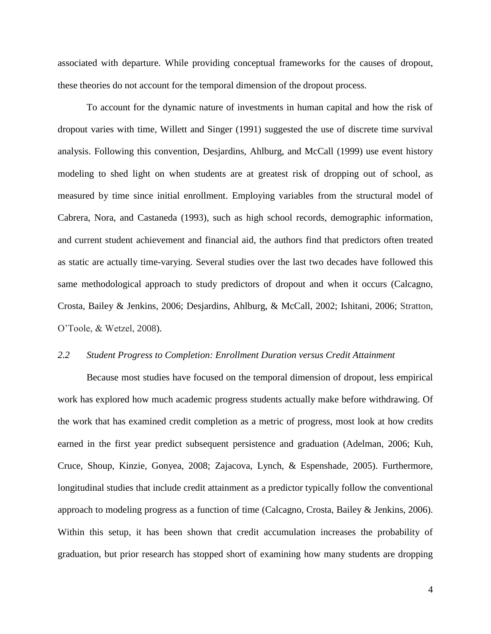associated with departure. While providing conceptual frameworks for the causes of dropout, these theories do not account for the temporal dimension of the dropout process.

To account for the dynamic nature of investments in human capital and how the risk of dropout varies with time, Willett and Singer (1991) suggested the use of discrete time survival analysis. Following this convention, Desjardins, Ahlburg, and McCall (1999) use event history modeling to shed light on when students are at greatest risk of dropping out of school, as measured by time since initial enrollment. Employing variables from the structural model of Cabrera, Nora, and Castaneda (1993), such as high school records, demographic information, and current student achievement and financial aid, the authors find that predictors often treated as static are actually time-varying. Several studies over the last two decades have followed this same methodological approach to study predictors of dropout and when it occurs (Calcagno, Crosta, Bailey & Jenkins, 2006; Desjardins, Ahlburg, & McCall, 2002; Ishitani, 2006; Stratton, O'Toole, & Wetzel, 2008).

#### *2.2 Student Progress to Completion: Enrollment Duration versus Credit Attainment*

Because most studies have focused on the temporal dimension of dropout, less empirical work has explored how much academic progress students actually make before withdrawing. Of the work that has examined credit completion as a metric of progress, most look at how credits earned in the first year predict subsequent persistence and graduation (Adelman, 2006; Kuh, Cruce, Shoup, Kinzie, Gonyea, 2008; Zajacova, Lynch, & Espenshade, 2005). Furthermore, longitudinal studies that include credit attainment as a predictor typically follow the conventional approach to modeling progress as a function of time (Calcagno, Crosta, Bailey & Jenkins, 2006). Within this setup, it has been shown that credit accumulation increases the probability of graduation, but prior research has stopped short of examining how many students are dropping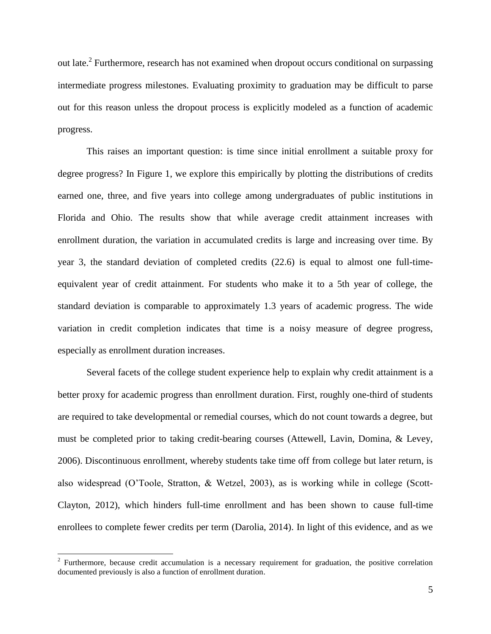out late.<sup>2</sup> Furthermore, research has not examined when dropout occurs conditional on surpassing intermediate progress milestones. Evaluating proximity to graduation may be difficult to parse out for this reason unless the dropout process is explicitly modeled as a function of academic progress.

This raises an important question: is time since initial enrollment a suitable proxy for degree progress? In Figure 1, we explore this empirically by plotting the distributions of credits earned one, three, and five years into college among undergraduates of public institutions in Florida and Ohio. The results show that while average credit attainment increases with enrollment duration, the variation in accumulated credits is large and increasing over time. By year 3, the standard deviation of completed credits (22.6) is equal to almost one full-timeequivalent year of credit attainment. For students who make it to a 5th year of college, the standard deviation is comparable to approximately 1.3 years of academic progress. The wide variation in credit completion indicates that time is a noisy measure of degree progress, especially as enrollment duration increases.

Several facets of the college student experience help to explain why credit attainment is a better proxy for academic progress than enrollment duration. First, roughly one-third of students are required to take developmental or remedial courses, which do not count towards a degree, but must be completed prior to taking credit-bearing courses (Attewell, Lavin, Domina, & Levey, 2006). Discontinuous enrollment, whereby students take time off from college but later return, is also widespread (O'Toole, Stratton, & Wetzel, 2003), as is working while in college (Scott-Clayton, 2012), which hinders full-time enrollment and has been shown to cause full-time enrollees to complete fewer credits per term (Darolia, 2014). In light of this evidence, and as we

<sup>&</sup>lt;sup>2</sup> Furthermore, because credit accumulation is a necessary requirement for graduation, the positive correlation documented previously is also a function of enrollment duration.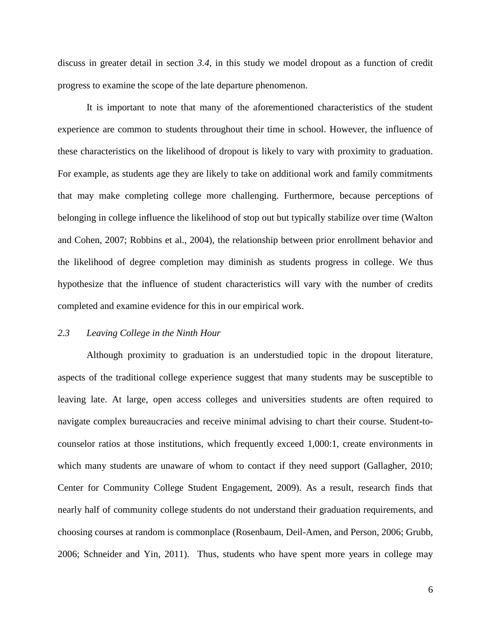discuss in greater detail in section *3.4*, in this study we model dropout as a function of credit progress to examine the scope of the late departure phenomenon.

It is important to note that many of the aforementioned characteristics of the student experience are common to students throughout their time in school. However, the influence of these characteristics on the likelihood of dropout is likely to vary with proximity to graduation. For example, as students age they are likely to take on additional work and family commitments that may make completing college more challenging. Furthermore, because perceptions of belonging in college influence the likelihood of stop out but typically stabilize over time (Walton and Cohen, 2007; Robbins et al., 2004), the relationship between prior enrollment behavior and the likelihood of degree completion may diminish as students progress in college. We thus hypothesize that the influence of student characteristics will vary with the number of credits completed and examine evidence for this in our empirical work.

## *2.3 Leaving College in the Ninth Hour*

Although proximity to graduation is an understudied topic in the dropout literature, aspects of the traditional college experience suggest that many students may be susceptible to leaving late. At large, open access colleges and universities students are often required to navigate complex bureaucracies and receive minimal advising to chart their course. Student-tocounselor ratios at those institutions, which frequently exceed 1,000:1, create environments in which many students are unaware of whom to contact if they need support (Gallagher, 2010; Center for Community College Student Engagement, 2009). As a result, research finds that nearly half of community college students do not understand their graduation requirements, and choosing courses at random is commonplace (Rosenbaum, Deil-Amen, and Person, 2006; Grubb, 2006; Schneider and Yin, 2011). Thus, students who have spent more years in college may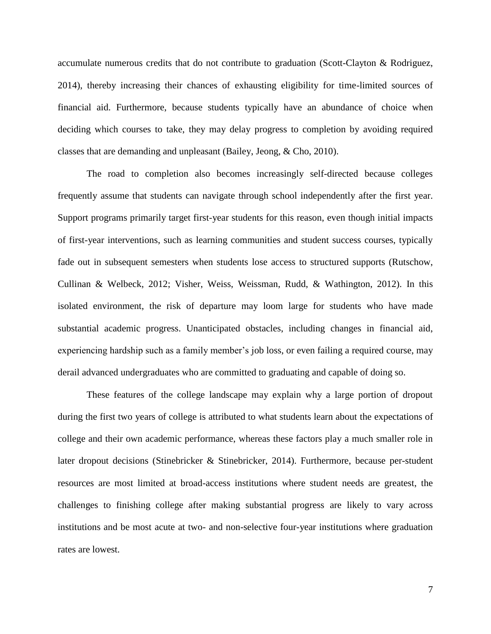accumulate numerous credits that do not contribute to graduation (Scott-Clayton & Rodriguez, 2014), thereby increasing their chances of exhausting eligibility for time-limited sources of financial aid. Furthermore, because students typically have an abundance of choice when deciding which courses to take, they may delay progress to completion by avoiding required classes that are demanding and unpleasant (Bailey, Jeong, & Cho, 2010).

The road to completion also becomes increasingly self-directed because colleges frequently assume that students can navigate through school independently after the first year. Support programs primarily target first-year students for this reason, even though initial impacts of first-year interventions, such as learning communities and student success courses, typically fade out in subsequent semesters when students lose access to structured supports (Rutschow, Cullinan & Welbeck, 2012; Visher, Weiss, Weissman, Rudd, & Wathington, 2012). In this isolated environment, the risk of departure may loom large for students who have made substantial academic progress. Unanticipated obstacles, including changes in financial aid, experiencing hardship such as a family member's job loss, or even failing a required course, may derail advanced undergraduates who are committed to graduating and capable of doing so.

These features of the college landscape may explain why a large portion of dropout during the first two years of college is attributed to what students learn about the expectations of college and their own academic performance, whereas these factors play a much smaller role in later dropout decisions (Stinebricker & Stinebricker, 2014). Furthermore, because per-student resources are most limited at broad-access institutions where student needs are greatest, the challenges to finishing college after making substantial progress are likely to vary across institutions and be most acute at two- and non-selective four-year institutions where graduation rates are lowest.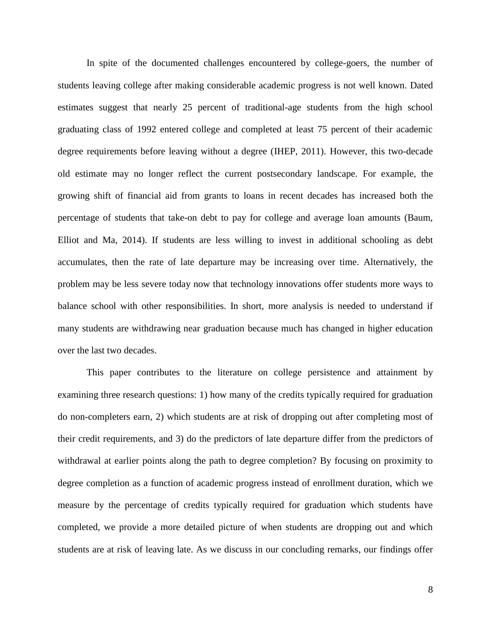In spite of the documented challenges encountered by college-goers, the number of students leaving college after making considerable academic progress is not well known. Dated estimates suggest that nearly 25 percent of traditional-age students from the high school graduating class of 1992 entered college and completed at least 75 percent of their academic degree requirements before leaving without a degree (IHEP, 2011). However, this two-decade old estimate may no longer reflect the current postsecondary landscape. For example, the growing shift of financial aid from grants to loans in recent decades has increased both the percentage of students that take-on debt to pay for college and average loan amounts (Baum, Elliot and Ma, 2014). If students are less willing to invest in additional schooling as debt accumulates, then the rate of late departure may be increasing over time. Alternatively, the problem may be less severe today now that technology innovations offer students more ways to balance school with other responsibilities. In short, more analysis is needed to understand if many students are withdrawing near graduation because much has changed in higher education over the last two decades.

This paper contributes to the literature on college persistence and attainment by examining three research questions: 1) how many of the credits typically required for graduation do non-completers earn, 2) which students are at risk of dropping out after completing most of their credit requirements, and 3) do the predictors of late departure differ from the predictors of withdrawal at earlier points along the path to degree completion? By focusing on proximity to degree completion as a function of academic progress instead of enrollment duration, which we measure by the percentage of credits typically required for graduation which students have completed, we provide a more detailed picture of when students are dropping out and which students are at risk of leaving late. As we discuss in our concluding remarks, our findings offer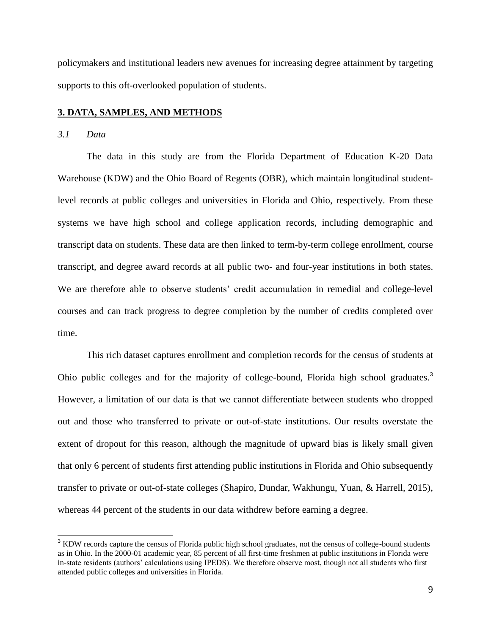policymakers and institutional leaders new avenues for increasing degree attainment by targeting supports to this oft-overlooked population of students.

## **3. DATA, SAMPLES, AND METHODS**

## *3.1 Data*

j

The data in this study are from the Florida Department of Education K-20 Data Warehouse (KDW) and the Ohio Board of Regents (OBR), which maintain longitudinal studentlevel records at public colleges and universities in Florida and Ohio, respectively. From these systems we have high school and college application records, including demographic and transcript data on students. These data are then linked to term-by-term college enrollment, course transcript, and degree award records at all public two- and four-year institutions in both states. We are therefore able to observe students' credit accumulation in remedial and college-level courses and can track progress to degree completion by the number of credits completed over time.

This rich dataset captures enrollment and completion records for the census of students at Ohio public colleges and for the majority of college-bound, Florida high school graduates.<sup>3</sup> However, a limitation of our data is that we cannot differentiate between students who dropped out and those who transferred to private or out-of-state institutions. Our results overstate the extent of dropout for this reason, although the magnitude of upward bias is likely small given that only 6 percent of students first attending public institutions in Florida and Ohio subsequently transfer to private or out-of-state colleges (Shapiro, Dundar, Wakhungu, Yuan, & Harrell, 2015), whereas 44 percent of the students in our data withdrew before earning a degree.

<sup>&</sup>lt;sup>3</sup> KDW records capture the census of Florida public high school graduates, not the census of college-bound students as in Ohio. In the 2000-01 academic year, 85 percent of all first-time freshmen at public institutions in Florida were in-state residents (authors' calculations using IPEDS). We therefore observe most, though not all students who first attended public colleges and universities in Florida.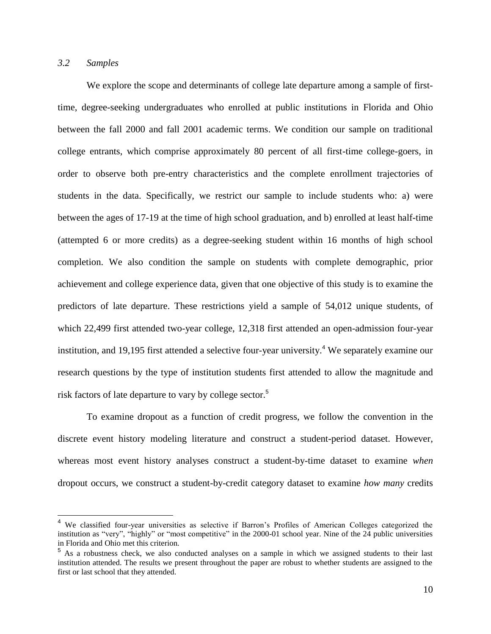# *3.2 Samples*

 $\overline{a}$ 

We explore the scope and determinants of college late departure among a sample of firsttime, degree-seeking undergraduates who enrolled at public institutions in Florida and Ohio between the fall 2000 and fall 2001 academic terms. We condition our sample on traditional college entrants, which comprise approximately 80 percent of all first-time college-goers, in order to observe both pre-entry characteristics and the complete enrollment trajectories of students in the data. Specifically, we restrict our sample to include students who: a) were between the ages of 17-19 at the time of high school graduation, and b) enrolled at least half-time (attempted 6 or more credits) as a degree-seeking student within 16 months of high school completion. We also condition the sample on students with complete demographic, prior achievement and college experience data, given that one objective of this study is to examine the predictors of late departure. These restrictions yield a sample of 54,012 unique students, of which 22,499 first attended two-year college, 12,318 first attended an open-admission four-year institution, and 19,195 first attended a selective four-year university. <sup>4</sup> We separately examine our research questions by the type of institution students first attended to allow the magnitude and risk factors of late departure to vary by college sector. 5

To examine dropout as a function of credit progress, we follow the convention in the discrete event history modeling literature and construct a student-period dataset. However, whereas most event history analyses construct a student-by-time dataset to examine *when* dropout occurs, we construct a student-by-credit category dataset to examine *how many* credits

<sup>4</sup> We classified four-year universities as selective if Barron's Profiles of American Colleges categorized the institution as "very", "highly" or "most competitive" in the 2000-01 school year. Nine of the 24 public universities in Florida and Ohio met this criterion.

<sup>&</sup>lt;sup>5</sup> As a robustness check, we also conducted analyses on a sample in which we assigned students to their last institution attended. The results we present throughout the paper are robust to whether students are assigned to the first or last school that they attended.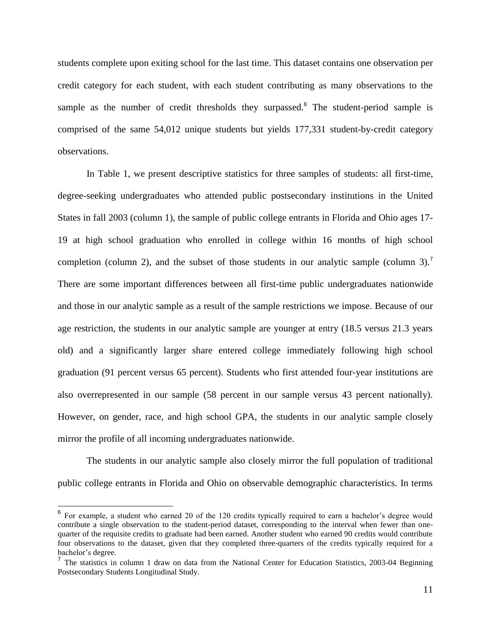students complete upon exiting school for the last time. This dataset contains one observation per credit category for each student, with each student contributing as many observations to the sample as the number of credit thresholds they surpassed.<sup>6</sup> The student-period sample is comprised of the same 54,012 unique students but yields 177,331 student-by-credit category observations.

In Table 1, we present descriptive statistics for three samples of students: all first-time, degree-seeking undergraduates who attended public postsecondary institutions in the United States in fall 2003 (column 1), the sample of public college entrants in Florida and Ohio ages 17- 19 at high school graduation who enrolled in college within 16 months of high school completion (column 2), and the subset of those students in our analytic sample (column 3).<sup>7</sup> There are some important differences between all first-time public undergraduates nationwide and those in our analytic sample as a result of the sample restrictions we impose. Because of our age restriction, the students in our analytic sample are younger at entry (18.5 versus 21.3 years old) and a significantly larger share entered college immediately following high school graduation (91 percent versus 65 percent). Students who first attended four-year institutions are also overrepresented in our sample (58 percent in our sample versus 43 percent nationally). However, on gender, race, and high school GPA, the students in our analytic sample closely mirror the profile of all incoming undergraduates nationwide.

The students in our analytic sample also closely mirror the full population of traditional public college entrants in Florida and Ohio on observable demographic characteristics. In terms

<sup>&</sup>lt;sup>6</sup> For example, a student who earned 20 of the 120 credits typically required to earn a bachelor's degree would contribute a single observation to the student-period dataset, corresponding to the interval when fewer than onequarter of the requisite credits to graduate had been earned. Another student who earned 90 credits would contribute four observations to the dataset, given that they completed three-quarters of the credits typically required for a bachelor's degree.

<sup>&</sup>lt;sup>7</sup> The statistics in column 1 draw on data from the National Center for Education Statistics, 2003-04 Beginning Postsecondary Students Longitudinal Study.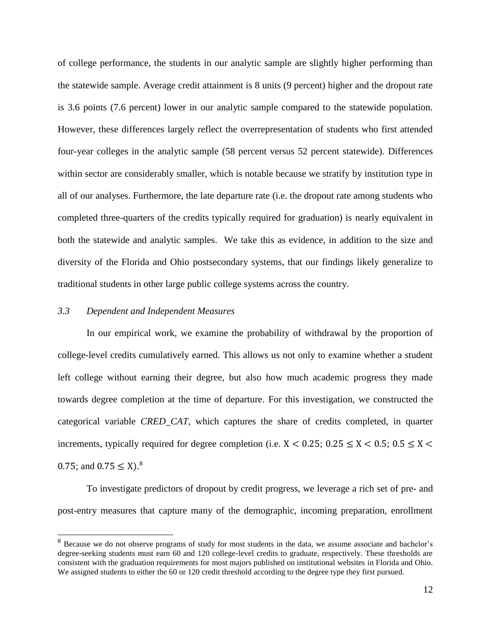of college performance, the students in our analytic sample are slightly higher performing than the statewide sample. Average credit attainment is 8 units (9 percent) higher and the dropout rate is 3.6 points (7.6 percent) lower in our analytic sample compared to the statewide population. However, these differences largely reflect the overrepresentation of students who first attended four-year colleges in the analytic sample (58 percent versus 52 percent statewide). Differences within sector are considerably smaller, which is notable because we stratify by institution type in all of our analyses. Furthermore, the late departure rate (i.e. the dropout rate among students who completed three-quarters of the credits typically required for graduation) is nearly equivalent in both the statewide and analytic samples. We take this as evidence, in addition to the size and diversity of the Florida and Ohio postsecondary systems, that our findings likely generalize to traditional students in other large public college systems across the country.

# *3.3 Dependent and Independent Measures*

In our empirical work, we examine the probability of withdrawal by the proportion of college-level credits cumulatively earned. This allows us not only to examine whether a student left college without earning their degree, but also how much academic progress they made towards degree completion at the time of departure. For this investigation, we constructed the categorical variable *CRED\_CAT*, which captures the share of credits completed, in quarter increments, typically required for degree completion (i.e.  $X < 0.25$ ;  $0.25 \le X < 0.5$ ;  $0.5 \le X <$ 0.75; and  $0.75 \le X$ ).<sup>8</sup>

To investigate predictors of dropout by credit progress, we leverage a rich set of pre- and post-entry measures that capture many of the demographic, incoming preparation, enrollment

<sup>&</sup>lt;sup>8</sup> Because we do not observe programs of study for most students in the data, we assume associate and bachelor's degree-seeking students must earn 60 and 120 college-level credits to graduate, respectively. These thresholds are consistent with the graduation requirements for most majors published on institutional websites in Florida and Ohio. We assigned students to either the 60 or 120 credit threshold according to the degree type they first pursued.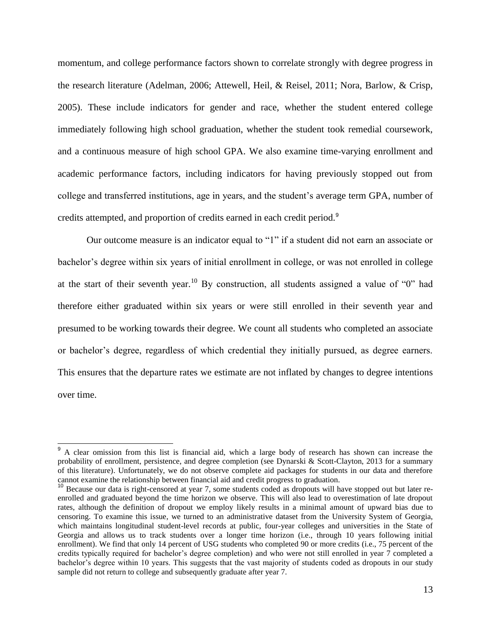momentum, and college performance factors shown to correlate strongly with degree progress in the research literature (Adelman, 2006; Attewell, Heil, & Reisel, 2011; Nora, Barlow, & Crisp, 2005). These include indicators for gender and race, whether the student entered college immediately following high school graduation, whether the student took remedial coursework, and a continuous measure of high school GPA. We also examine time-varying enrollment and academic performance factors, including indicators for having previously stopped out from college and transferred institutions, age in years, and the student's average term GPA, number of credits attempted, and proportion of credits earned in each credit period.<sup>9</sup>

Our outcome measure is an indicator equal to "1" if a student did not earn an associate or bachelor's degree within six years of initial enrollment in college, or was not enrolled in college at the start of their seventh year.<sup>10</sup> By construction, all students assigned a value of "0" had therefore either graduated within six years or were still enrolled in their seventh year and presumed to be working towards their degree. We count all students who completed an associate or bachelor's degree, regardless of which credential they initially pursued, as degree earners. This ensures that the departure rates we estimate are not inflated by changes to degree intentions over time.

<sup>&</sup>lt;sup>9</sup> A clear omission from this list is financial aid, which a large body of research has shown can increase the probability of enrollment, persistence, and degree completion (see Dynarski & Scott-Clayton, 2013 for a summary of this literature). Unfortunately, we do not observe complete aid packages for students in our data and therefore cannot examine the relationship between financial aid and credit progress to graduation.

<sup>&</sup>lt;sup>10</sup> Because our data is right-censored at year 7, some students coded as dropouts will have stopped out but later reenrolled and graduated beyond the time horizon we observe. This will also lead to overestimation of late dropout rates, although the definition of dropout we employ likely results in a minimal amount of upward bias due to censoring. To examine this issue, we turned to an administrative dataset from the University System of Georgia, which maintains longitudinal student-level records at public, four-year colleges and universities in the State of Georgia and allows us to track students over a longer time horizon (i.e., through 10 years following initial enrollment). We find that only 14 percent of USG students who completed 90 or more credits (i.e., 75 percent of the credits typically required for bachelor's degree completion) and who were not still enrolled in year 7 completed a bachelor's degree within 10 years. This suggests that the vast majority of students coded as dropouts in our study sample did not return to college and subsequently graduate after year 7.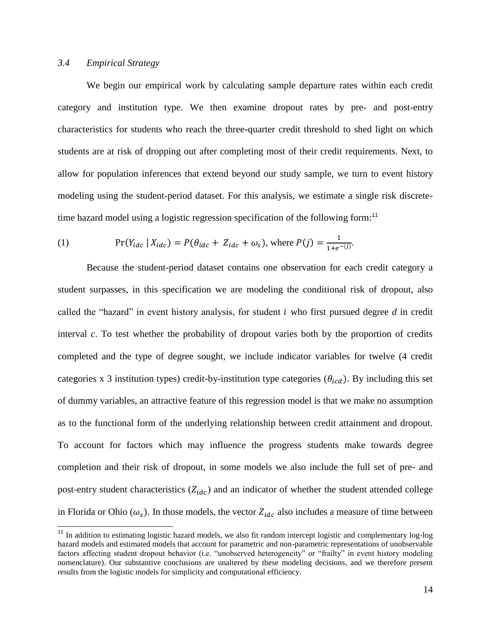## *3.4 Empirical Strategy*

We begin our empirical work by calculating sample departure rates within each credit category and institution type. We then examine dropout rates by pre- and post-entry characteristics for students who reach the three-quarter credit threshold to shed light on which students are at risk of dropping out after completing most of their credit requirements. Next, to allow for population inferences that extend beyond our study sample, we turn to event history modeling using the student-period dataset. For this analysis, we estimate a single risk discretetime hazard model using a logistic regression specification of the following form:<sup>11</sup>

(1) 
$$
\Pr(Y_{idc} | X_{idc}) = P(\theta_{idc} + Z_{idc} + \omega_s), \text{ where } P(j) = \frac{1}{1 + e^{-(j)}}.
$$

Because the student-period dataset contains one observation for each credit category a student surpasses, in this specification we are modeling the conditional risk of dropout, also called the "hazard" in event history analysis, for student who first pursued degree *d* in credit interval *c*. To test whether the probability of dropout varies both by the proportion of credits completed and the type of degree sought, we include indicator variables for twelve (4 credit categories x 3 institution types) credit-by-institution type categories  $(\theta_{icd})$ . By including this set of dummy variables, an attractive feature of this regression model is that we make no assumption as to the functional form of the underlying relationship between credit attainment and dropout. To account for factors which may influence the progress students make towards degree completion and their risk of dropout, in some models we also include the full set of pre- and post-entry student characteristics  $(Z_{idc})$  and an indicator of whether the student attended college in Florida or Ohio  $(\omega_s)$ . In those models, the vector  $Z_{ide}$  also includes a measure of time between

 $11$  In addition to estimating logistic hazard models, we also fit random intercept logistic and complementary log-log hazard models and estimated models that account for parametric and non-parametric representations of unobservable factors affecting student dropout behavior (i.e. "unobserved heterogeneity" or "frailty" in event history modeling nomenclature). Our substantive conclusions are unaltered by these modeling decisions, and we therefore present results from the logistic models for simplicity and computational efficiency.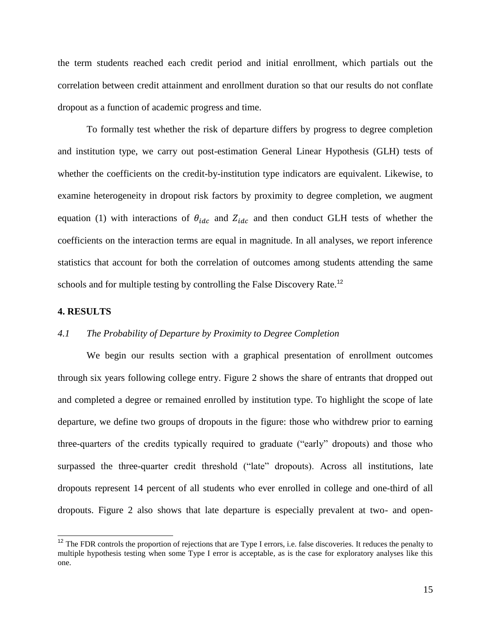the term students reached each credit period and initial enrollment, which partials out the correlation between credit attainment and enrollment duration so that our results do not conflate dropout as a function of academic progress and time.

To formally test whether the risk of departure differs by progress to degree completion and institution type, we carry out post-estimation General Linear Hypothesis (GLH) tests of whether the coefficients on the credit-by-institution type indicators are equivalent. Likewise, to examine heterogeneity in dropout risk factors by proximity to degree completion, we augment equation (1) with interactions of  $\theta_{idc}$  and  $Z_{idc}$  and then conduct GLH tests of whether the coefficients on the interaction terms are equal in magnitude. In all analyses, we report inference statistics that account for both the correlation of outcomes among students attending the same schools and for multiple testing by controlling the False Discovery Rate.<sup>12</sup>

### **4. RESULTS**

j

# *4.1 The Probability of Departure by Proximity to Degree Completion*

We begin our results section with a graphical presentation of enrollment outcomes through six years following college entry. Figure 2 shows the share of entrants that dropped out and completed a degree or remained enrolled by institution type. To highlight the scope of late departure, we define two groups of dropouts in the figure: those who withdrew prior to earning three-quarters of the credits typically required to graduate ("early" dropouts) and those who surpassed the three-quarter credit threshold ("late" dropouts). Across all institutions, late dropouts represent 14 percent of all students who ever enrolled in college and one-third of all dropouts. Figure 2 also shows that late departure is especially prevalent at two- and open-

 $12$  The FDR controls the proportion of rejections that are Type I errors, i.e. false discoveries. It reduces the penalty to multiple hypothesis testing when some Type I error is acceptable, as is the case for exploratory analyses like this one.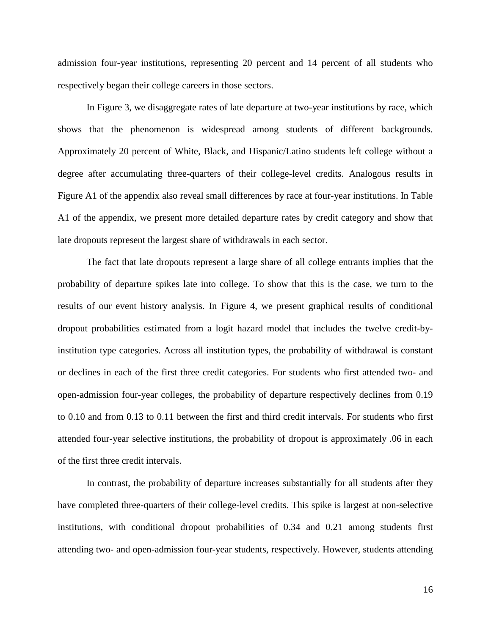admission four-year institutions, representing 20 percent and 14 percent of all students who respectively began their college careers in those sectors.

In Figure 3, we disaggregate rates of late departure at two-year institutions by race, which shows that the phenomenon is widespread among students of different backgrounds. Approximately 20 percent of White, Black, and Hispanic/Latino students left college without a degree after accumulating three-quarters of their college-level credits. Analogous results in Figure A1 of the appendix also reveal small differences by race at four-year institutions. In Table A1 of the appendix, we present more detailed departure rates by credit category and show that late dropouts represent the largest share of withdrawals in each sector.

The fact that late dropouts represent a large share of all college entrants implies that the probability of departure spikes late into college. To show that this is the case, we turn to the results of our event history analysis. In Figure 4, we present graphical results of conditional dropout probabilities estimated from a logit hazard model that includes the twelve credit-byinstitution type categories. Across all institution types, the probability of withdrawal is constant or declines in each of the first three credit categories. For students who first attended two- and open-admission four-year colleges, the probability of departure respectively declines from 0.19 to 0.10 and from 0.13 to 0.11 between the first and third credit intervals. For students who first attended four-year selective institutions, the probability of dropout is approximately .06 in each of the first three credit intervals.

In contrast, the probability of departure increases substantially for all students after they have completed three-quarters of their college-level credits. This spike is largest at non-selective institutions, with conditional dropout probabilities of 0.34 and 0.21 among students first attending two- and open-admission four-year students, respectively. However, students attending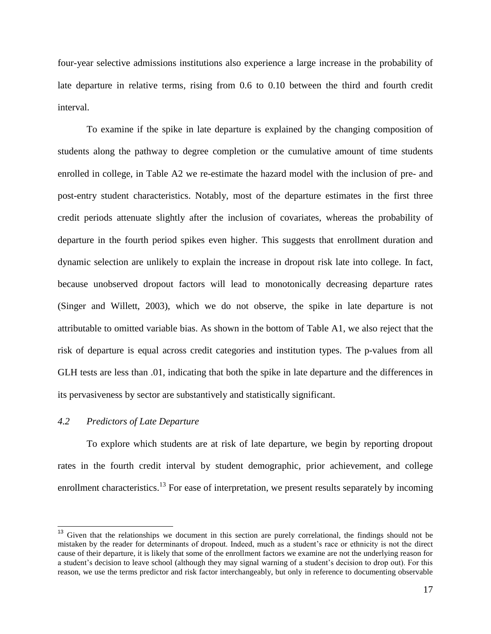four-year selective admissions institutions also experience a large increase in the probability of late departure in relative terms, rising from 0.6 to 0.10 between the third and fourth credit interval.

To examine if the spike in late departure is explained by the changing composition of students along the pathway to degree completion or the cumulative amount of time students enrolled in college, in Table A2 we re-estimate the hazard model with the inclusion of pre- and post-entry student characteristics. Notably, most of the departure estimates in the first three credit periods attenuate slightly after the inclusion of covariates, whereas the probability of departure in the fourth period spikes even higher. This suggests that enrollment duration and dynamic selection are unlikely to explain the increase in dropout risk late into college. In fact, because unobserved dropout factors will lead to monotonically decreasing departure rates (Singer and Willett, 2003), which we do not observe, the spike in late departure is not attributable to omitted variable bias. As shown in the bottom of Table A1, we also reject that the risk of departure is equal across credit categories and institution types. The p-values from all GLH tests are less than .01, indicating that both the spike in late departure and the differences in its pervasiveness by sector are substantively and statistically significant.

## *4.2 Predictors of Late Departure*

To explore which students are at risk of late departure, we begin by reporting dropout rates in the fourth credit interval by student demographic, prior achievement, and college enrollment characteristics.<sup>13</sup> For ease of interpretation, we present results separately by incoming

<sup>&</sup>lt;sup>13</sup> Given that the relationships we document in this section are purely correlational, the findings should not be mistaken by the reader for determinants of dropout. Indeed, much as a student's race or ethnicity is not the direct cause of their departure, it is likely that some of the enrollment factors we examine are not the underlying reason for a student's decision to leave school (although they may signal warning of a student's decision to drop out). For this reason, we use the terms predictor and risk factor interchangeably, but only in reference to documenting observable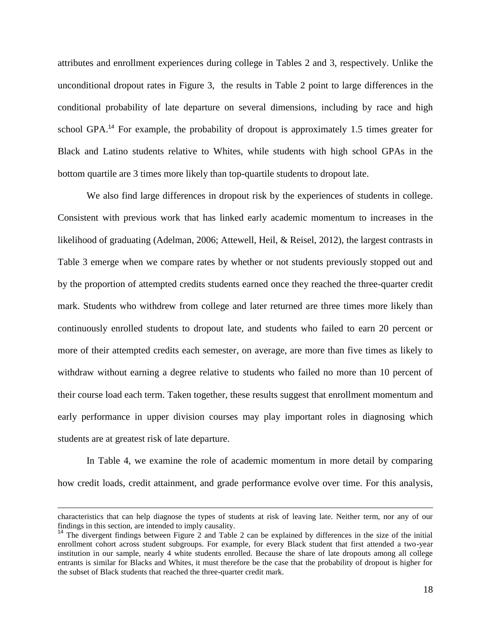attributes and enrollment experiences during college in Tables 2 and 3, respectively. Unlike the unconditional dropout rates in Figure 3, the results in Table 2 point to large differences in the conditional probability of late departure on several dimensions, including by race and high school GPA.<sup>14</sup> For example, the probability of dropout is approximately 1.5 times greater for Black and Latino students relative to Whites, while students with high school GPAs in the bottom quartile are 3 times more likely than top-quartile students to dropout late.

We also find large differences in dropout risk by the experiences of students in college. Consistent with previous work that has linked early academic momentum to increases in the likelihood of graduating (Adelman, 2006; Attewell, Heil, & Reisel, 2012), the largest contrasts in Table 3 emerge when we compare rates by whether or not students previously stopped out and by the proportion of attempted credits students earned once they reached the three-quarter credit mark. Students who withdrew from college and later returned are three times more likely than continuously enrolled students to dropout late, and students who failed to earn 20 percent or more of their attempted credits each semester, on average, are more than five times as likely to withdraw without earning a degree relative to students who failed no more than 10 percent of their course load each term. Taken together, these results suggest that enrollment momentum and early performance in upper division courses may play important roles in diagnosing which students are at greatest risk of late departure.

In Table 4, we examine the role of academic momentum in more detail by comparing how credit loads, credit attainment, and grade performance evolve over time. For this analysis,

 $\overline{a}$ 

characteristics that can help diagnose the types of students at risk of leaving late. Neither term, nor any of our findings in this section, are intended to imply causality.

<sup>&</sup>lt;sup>14</sup> The divergent findings between Figure 2 and Table 2 can be explained by differences in the size of the initial enrollment cohort across student subgroups. For example, for every Black student that first attended a two-year institution in our sample, nearly 4 white students enrolled. Because the share of late dropouts among all college entrants is similar for Blacks and Whites, it must therefore be the case that the probability of dropout is higher for the subset of Black students that reached the three-quarter credit mark.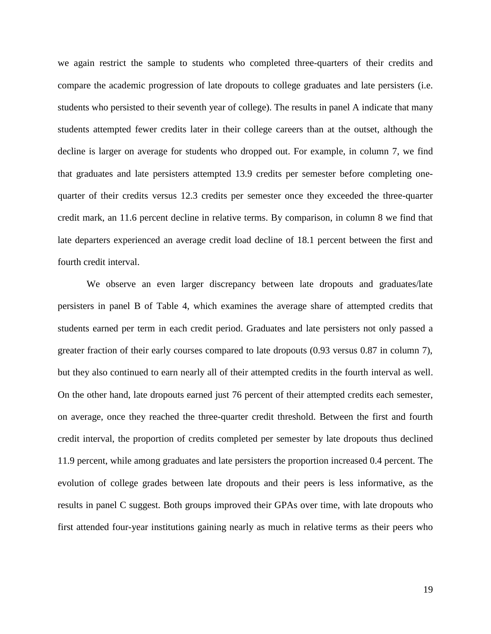we again restrict the sample to students who completed three-quarters of their credits and compare the academic progression of late dropouts to college graduates and late persisters (i.e. students who persisted to their seventh year of college). The results in panel A indicate that many students attempted fewer credits later in their college careers than at the outset, although the decline is larger on average for students who dropped out. For example, in column 7, we find that graduates and late persisters attempted 13.9 credits per semester before completing onequarter of their credits versus 12.3 credits per semester once they exceeded the three-quarter credit mark, an 11.6 percent decline in relative terms. By comparison, in column 8 we find that late departers experienced an average credit load decline of 18.1 percent between the first and fourth credit interval.

We observe an even larger discrepancy between late dropouts and graduates/late persisters in panel B of Table 4, which examines the average share of attempted credits that students earned per term in each credit period. Graduates and late persisters not only passed a greater fraction of their early courses compared to late dropouts (0.93 versus 0.87 in column 7), but they also continued to earn nearly all of their attempted credits in the fourth interval as well. On the other hand, late dropouts earned just 76 percent of their attempted credits each semester, on average, once they reached the three-quarter credit threshold. Between the first and fourth credit interval, the proportion of credits completed per semester by late dropouts thus declined 11.9 percent, while among graduates and late persisters the proportion increased 0.4 percent. The evolution of college grades between late dropouts and their peers is less informative, as the results in panel C suggest. Both groups improved their GPAs over time, with late dropouts who first attended four-year institutions gaining nearly as much in relative terms as their peers who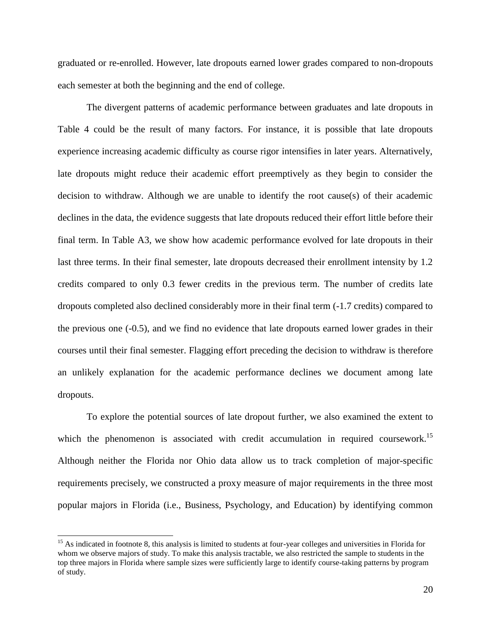graduated or re-enrolled. However, late dropouts earned lower grades compared to non-dropouts each semester at both the beginning and the end of college.

The divergent patterns of academic performance between graduates and late dropouts in Table 4 could be the result of many factors. For instance, it is possible that late dropouts experience increasing academic difficulty as course rigor intensifies in later years. Alternatively, late dropouts might reduce their academic effort preemptively as they begin to consider the decision to withdraw. Although we are unable to identify the root cause(s) of their academic declines in the data, the evidence suggests that late dropouts reduced their effort little before their final term. In Table A3, we show how academic performance evolved for late dropouts in their last three terms. In their final semester, late dropouts decreased their enrollment intensity by 1.2 credits compared to only 0.3 fewer credits in the previous term. The number of credits late dropouts completed also declined considerably more in their final term (-1.7 credits) compared to the previous one (-0.5), and we find no evidence that late dropouts earned lower grades in their courses until their final semester. Flagging effort preceding the decision to withdraw is therefore an unlikely explanation for the academic performance declines we document among late dropouts.

To explore the potential sources of late dropout further, we also examined the extent to which the phenomenon is associated with credit accumulation in required coursework.<sup>15</sup> Although neither the Florida nor Ohio data allow us to track completion of major-specific requirements precisely, we constructed a proxy measure of major requirements in the three most popular majors in Florida (i.e., Business, Psychology, and Education) by identifying common

<sup>&</sup>lt;sup>15</sup> As indicated in footnote 8, this analysis is limited to students at four-year colleges and universities in Florida for whom we observe majors of study. To make this analysis tractable, we also restricted the sample to students in the top three majors in Florida where sample sizes were sufficiently large to identify course-taking patterns by program of study.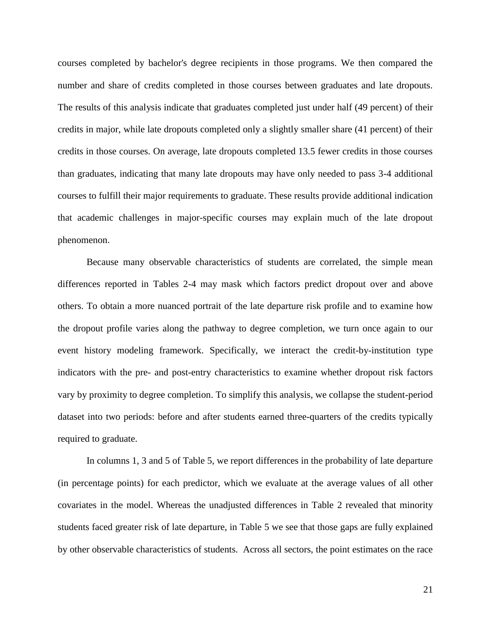courses completed by bachelor's degree recipients in those programs. We then compared the number and share of credits completed in those courses between graduates and late dropouts. The results of this analysis indicate that graduates completed just under half (49 percent) of their credits in major, while late dropouts completed only a slightly smaller share (41 percent) of their credits in those courses. On average, late dropouts completed 13.5 fewer credits in those courses than graduates, indicating that many late dropouts may have only needed to pass 3-4 additional courses to fulfill their major requirements to graduate. These results provide additional indication that academic challenges in major-specific courses may explain much of the late dropout phenomenon.

Because many observable characteristics of students are correlated, the simple mean differences reported in Tables 2-4 may mask which factors predict dropout over and above others. To obtain a more nuanced portrait of the late departure risk profile and to examine how the dropout profile varies along the pathway to degree completion, we turn once again to our event history modeling framework. Specifically, we interact the credit-by-institution type indicators with the pre- and post-entry characteristics to examine whether dropout risk factors vary by proximity to degree completion. To simplify this analysis, we collapse the student-period dataset into two periods: before and after students earned three-quarters of the credits typically required to graduate.

In columns 1, 3 and 5 of Table 5, we report differences in the probability of late departure (in percentage points) for each predictor, which we evaluate at the average values of all other covariates in the model. Whereas the unadjusted differences in Table 2 revealed that minority students faced greater risk of late departure, in Table 5 we see that those gaps are fully explained by other observable characteristics of students. Across all sectors, the point estimates on the race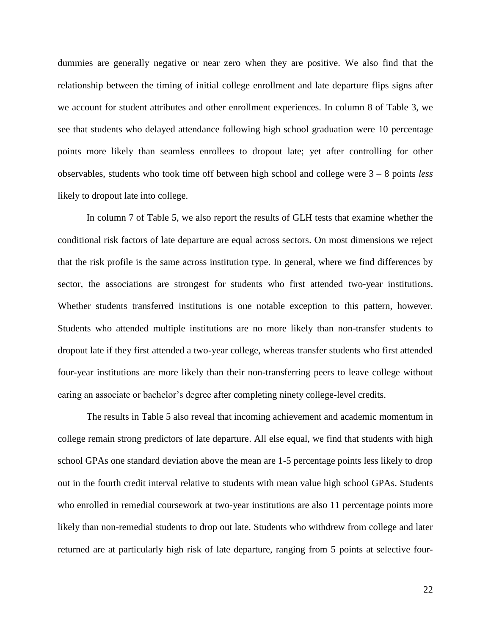dummies are generally negative or near zero when they are positive. We also find that the relationship between the timing of initial college enrollment and late departure flips signs after we account for student attributes and other enrollment experiences. In column 8 of Table 3, we see that students who delayed attendance following high school graduation were 10 percentage points more likely than seamless enrollees to dropout late; yet after controlling for other observables, students who took time off between high school and college were 3 – 8 points *less* likely to dropout late into college.

In column 7 of Table 5, we also report the results of GLH tests that examine whether the conditional risk factors of late departure are equal across sectors. On most dimensions we reject that the risk profile is the same across institution type. In general, where we find differences by sector, the associations are strongest for students who first attended two-year institutions. Whether students transferred institutions is one notable exception to this pattern, however. Students who attended multiple institutions are no more likely than non-transfer students to dropout late if they first attended a two-year college, whereas transfer students who first attended four-year institutions are more likely than their non-transferring peers to leave college without earing an associate or bachelor's degree after completing ninety college-level credits.

The results in Table 5 also reveal that incoming achievement and academic momentum in college remain strong predictors of late departure. All else equal, we find that students with high school GPAs one standard deviation above the mean are 1-5 percentage points less likely to drop out in the fourth credit interval relative to students with mean value high school GPAs. Students who enrolled in remedial coursework at two-year institutions are also 11 percentage points more likely than non-remedial students to drop out late. Students who withdrew from college and later returned are at particularly high risk of late departure, ranging from 5 points at selective four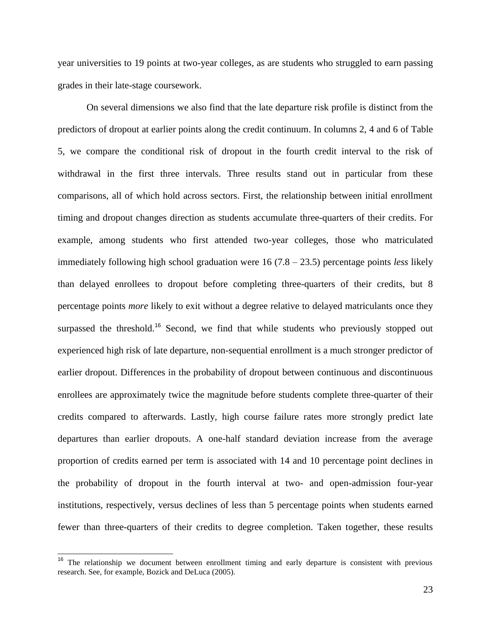year universities to 19 points at two-year colleges, as are students who struggled to earn passing grades in their late-stage coursework.

On several dimensions we also find that the late departure risk profile is distinct from the predictors of dropout at earlier points along the credit continuum. In columns 2, 4 and 6 of Table 5, we compare the conditional risk of dropout in the fourth credit interval to the risk of withdrawal in the first three intervals. Three results stand out in particular from these comparisons, all of which hold across sectors. First, the relationship between initial enrollment timing and dropout changes direction as students accumulate three-quarters of their credits. For example, among students who first attended two-year colleges, those who matriculated immediately following high school graduation were 16 (7.8 – 23.5) percentage points *less* likely than delayed enrollees to dropout before completing three-quarters of their credits, but 8 percentage points *more* likely to exit without a degree relative to delayed matriculants once they surpassed the threshold.<sup>16</sup> Second, we find that while students who previously stopped out experienced high risk of late departure, non-sequential enrollment is a much stronger predictor of earlier dropout. Differences in the probability of dropout between continuous and discontinuous enrollees are approximately twice the magnitude before students complete three-quarter of their credits compared to afterwards. Lastly, high course failure rates more strongly predict late departures than earlier dropouts. A one-half standard deviation increase from the average proportion of credits earned per term is associated with 14 and 10 percentage point declines in the probability of dropout in the fourth interval at two- and open-admission four-year institutions, respectively, versus declines of less than 5 percentage points when students earned fewer than three-quarters of their credits to degree completion. Taken together, these results

 $16$  The relationship we document between enrollment timing and early departure is consistent with previous research. See, for example, Bozick and DeLuca (2005).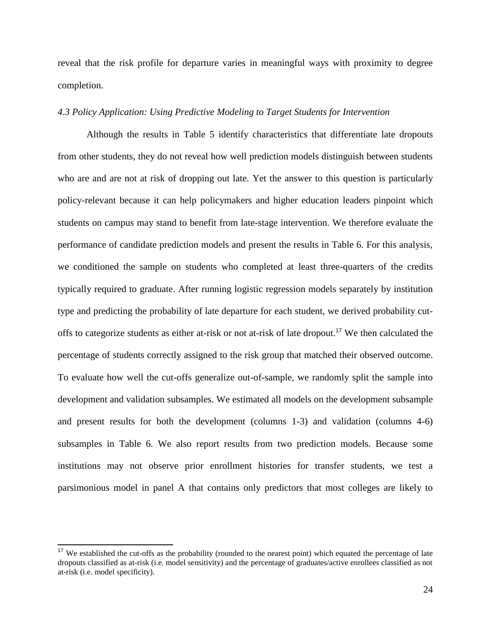reveal that the risk profile for departure varies in meaningful ways with proximity to degree completion.

## *4.3 Policy Application: Using Predictive Modeling to Target Students for Intervention*

Although the results in Table 5 identify characteristics that differentiate late dropouts from other students, they do not reveal how well prediction models distinguish between students who are and are not at risk of dropping out late. Yet the answer to this question is particularly policy-relevant because it can help policymakers and higher education leaders pinpoint which students on campus may stand to benefit from late-stage intervention. We therefore evaluate the performance of candidate prediction models and present the results in Table 6. For this analysis, we conditioned the sample on students who completed at least three-quarters of the credits typically required to graduate. After running logistic regression models separately by institution type and predicting the probability of late departure for each student, we derived probability cutoffs to categorize students as either at-risk or not at-risk of late dropout.<sup>17</sup> We then calculated the percentage of students correctly assigned to the risk group that matched their observed outcome. To evaluate how well the cut-offs generalize out-of-sample, we randomly split the sample into development and validation subsamples. We estimated all models on the development subsample and present results for both the development (columns 1-3) and validation (columns 4-6) subsamples in Table 6. We also report results from two prediction models. Because some institutions may not observe prior enrollment histories for transfer students, we test a parsimonious model in panel A that contains only predictors that most colleges are likely to

 $\overline{\phantom{a}}$ 

 $17$  We established the cut-offs as the probability (rounded to the nearest point) which equated the percentage of late dropouts classified as at-risk (i.e. model sensitivity) and the percentage of graduates/active enrollees classified as not at-risk (i.e. model specificity).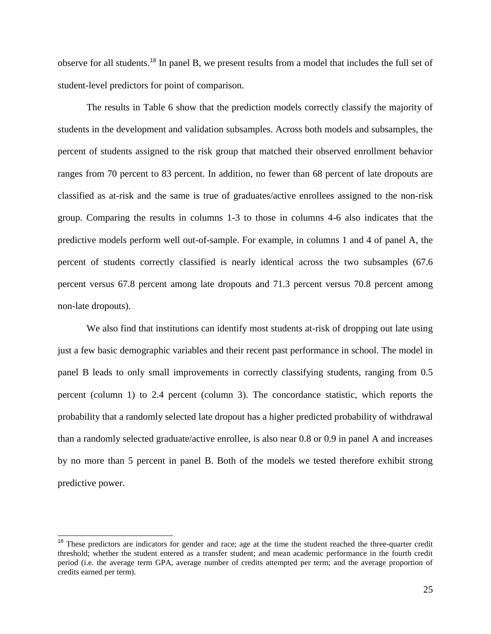observe for all students.<sup>18</sup> In panel B, we present results from a model that includes the full set of student-level predictors for point of comparison.

The results in Table 6 show that the prediction models correctly classify the majority of students in the development and validation subsamples. Across both models and subsamples, the percent of students assigned to the risk group that matched their observed enrollment behavior ranges from 70 percent to 83 percent. In addition, no fewer than 68 percent of late dropouts are classified as at-risk and the same is true of graduates/active enrollees assigned to the non-risk group. Comparing the results in columns 1-3 to those in columns 4-6 also indicates that the predictive models perform well out-of-sample. For example, in columns 1 and 4 of panel A, the percent of students correctly classified is nearly identical across the two subsamples (67.6 percent versus 67.8 percent among late dropouts and 71.3 percent versus 70.8 percent among non-late dropouts).

We also find that institutions can identify most students at-risk of dropping out late using just a few basic demographic variables and their recent past performance in school. The model in panel B leads to only small improvements in correctly classifying students, ranging from 0.5 percent (column 1) to 2.4 percent (column 3). The concordance statistic, which reports the probability that a randomly selected late dropout has a higher predicted probability of withdrawal than a randomly selected graduate/active enrollee, is also near 0.8 or 0.9 in panel A and increases by no more than 5 percent in panel B. Both of the models we tested therefore exhibit strong predictive power.

j

<sup>&</sup>lt;sup>18</sup> These predictors are indicators for gender and race; age at the time the student reached the three-quarter credit threshold; whether the student entered as a transfer student; and mean academic performance in the fourth credit period (i.e. the average term GPA, average number of credits attempted per term; and the average proportion of credits earned per term).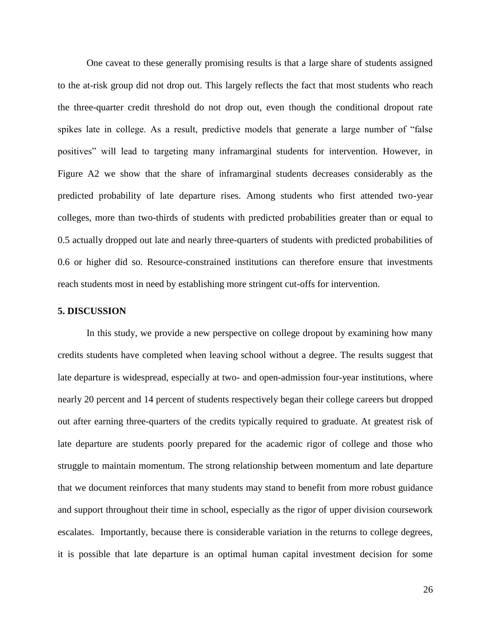One caveat to these generally promising results is that a large share of students assigned to the at-risk group did not drop out. This largely reflects the fact that most students who reach the three-quarter credit threshold do not drop out, even though the conditional dropout rate spikes late in college. As a result, predictive models that generate a large number of "false positives" will lead to targeting many inframarginal students for intervention. However, in Figure A2 we show that the share of inframarginal students decreases considerably as the predicted probability of late departure rises. Among students who first attended two-year colleges, more than two-thirds of students with predicted probabilities greater than or equal to 0.5 actually dropped out late and nearly three-quarters of students with predicted probabilities of 0.6 or higher did so. Resource-constrained institutions can therefore ensure that investments reach students most in need by establishing more stringent cut-offs for intervention.

#### **5. DISCUSSION**

In this study, we provide a new perspective on college dropout by examining how many credits students have completed when leaving school without a degree. The results suggest that late departure is widespread, especially at two- and open-admission four-year institutions, where nearly 20 percent and 14 percent of students respectively began their college careers but dropped out after earning three-quarters of the credits typically required to graduate. At greatest risk of late departure are students poorly prepared for the academic rigor of college and those who struggle to maintain momentum. The strong relationship between momentum and late departure that we document reinforces that many students may stand to benefit from more robust guidance and support throughout their time in school, especially as the rigor of upper division coursework escalates. Importantly, because there is considerable variation in the returns to college degrees, it is possible that late departure is an optimal human capital investment decision for some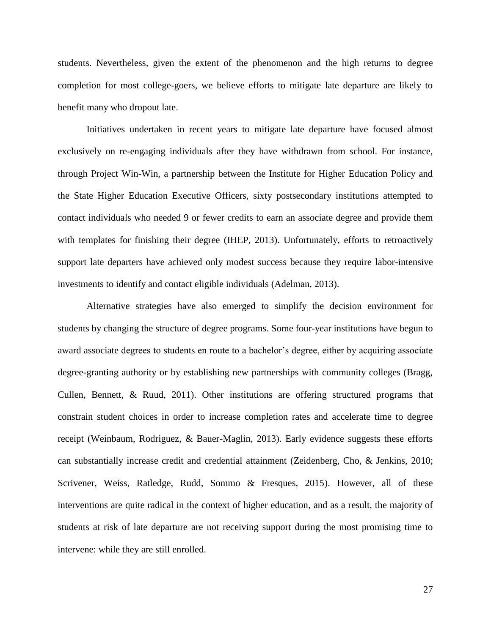students. Nevertheless, given the extent of the phenomenon and the high returns to degree completion for most college-goers, we believe efforts to mitigate late departure are likely to benefit many who dropout late.

Initiatives undertaken in recent years to mitigate late departure have focused almost exclusively on re-engaging individuals after they have withdrawn from school. For instance, through Project Win-Win, a partnership between the Institute for Higher Education Policy and the State Higher Education Executive Officers, sixty postsecondary institutions attempted to contact individuals who needed 9 or fewer credits to earn an associate degree and provide them with templates for finishing their degree (IHEP, 2013). Unfortunately, efforts to retroactively support late departers have achieved only modest success because they require labor-intensive investments to identify and contact eligible individuals (Adelman, 2013).

Alternative strategies have also emerged to simplify the decision environment for students by changing the structure of degree programs. Some four-year institutions have begun to award associate degrees to students en route to a bachelor's degree, either by acquiring associate degree-granting authority or by establishing new partnerships with community colleges (Bragg, Cullen, Bennett, & Ruud, 2011). Other institutions are offering structured programs that constrain student choices in order to increase completion rates and accelerate time to degree receipt (Weinbaum, Rodriguez, & Bauer-Maglin, 2013). Early evidence suggests these efforts can substantially increase credit and credential attainment (Zeidenberg, Cho, & Jenkins, 2010; Scrivener, Weiss, Ratledge, Rudd, Sommo & Fresques, 2015). However, all of these interventions are quite radical in the context of higher education, and as a result, the majority of students at risk of late departure are not receiving support during the most promising time to intervene: while they are still enrolled.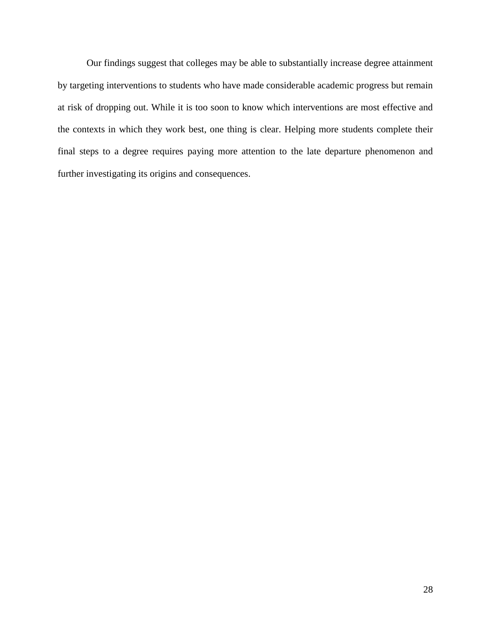Our findings suggest that colleges may be able to substantially increase degree attainment by targeting interventions to students who have made considerable academic progress but remain at risk of dropping out. While it is too soon to know which interventions are most effective and the contexts in which they work best, one thing is clear. Helping more students complete their final steps to a degree requires paying more attention to the late departure phenomenon and further investigating its origins and consequences.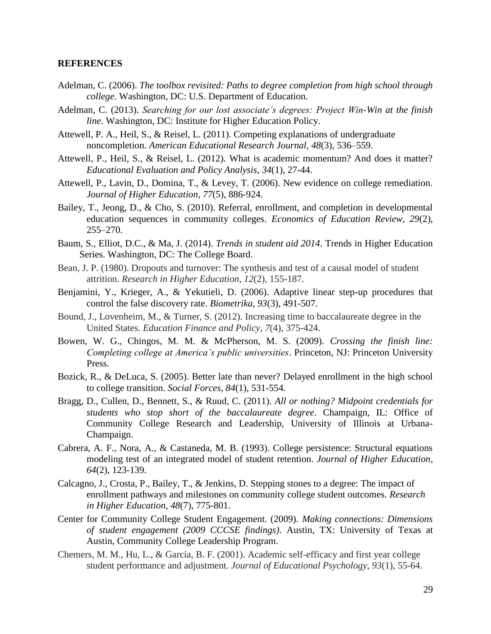#### **REFERENCES**

- Adelman, C. (2006). *The toolbox revisited: Paths to degree completion from high school through college*. Washington, DC: U.S. Department of Education.
- Adelman, C. (2013). *Searching for our lost associate's degrees: Project Win-Win at the finish line*. Washington, DC: Institute for Higher Education Policy.
- Attewell, P. A., Heil, S., & Reisel, L. (2011). Competing explanations of undergraduate noncompletion. *American Educational Research Journal*, *48*(3), 536–559.
- Attewell, P., Heil, S., & Reisel, L. (2012). What is academic momentum? And does it matter? *Educational Evaluation and Policy Analysis*, *34*(1), 27-44.
- Attewell, P., Lavin, D., Domina, T., & Levey, T. (2006). New evidence on college remediation. *Journal of Higher Education*, *77*(5), 886-924.
- Bailey, T., Jeong, D., & Cho, S. (2010). Referral, enrollment, and completion in developmental education sequences in community colleges. *Economics of Education Review, 29*(2), 255–270.
- Baum, S., Elliot, D.C., & Ma, J. (2014). *Trends in student aid 2014*. Trends in Higher Education Series. Washington, DC: The College Board.
- Bean, J. P. (1980). Dropouts and turnover: The synthesis and test of a causal model of student attrition. *Research in Higher Education*, *12*(2), 155-187.
- Benjamini, Y., Krieger, A., & Yekutieli, D. (2006). Adaptive linear step-up procedures that control the false discovery rate. *Biometrika*, *93*(3), 491-507.
- Bound, J., Lovenheim, M., & Turner, S. (2012). Increasing time to baccalaureate degree in the United States. *Education Finance and Policy*, *7*(4), 375-424.
- Bowen, W. G., Chingos, M. M. & McPherson, M. S. (2009)*. Crossing the finish line: Completing college at America's public universities*. Princeton, NJ: Princeton University Press.
- Bozick, R., & DeLuca, S. (2005). Better late than never? Delayed enrollment in the high school to college transition. *Social Forces, 84*(1), 531-554.
- Bragg, D., Cullen, D., Bennett, S., & Ruud, C. (2011). *All or nothing? Midpoint credentials for students who stop short of the baccalaureate degree*. Champaign, IL: Office of Community College Research and Leadership, University of Illinois at Urbana-Champaign.
- Cabrera, A. F., Nora, A., & Castaneda, M. B. (1993). College persistence: Structural equations modeling test of an integrated model of student retention. *Journal of Higher Education*, *64*(2), 123-139.
- Calcagno, J., Crosta, P., Bailey, T., & Jenkins, D. Stepping stones to a degree: The impact of enrollment pathways and milestones on community college student outcomes. *Research in Higher Education*, *48*(7), 775-801.
- Center for Community College Student Engagement. (2009). *Making connections: Dimensions of student engagement (2009 CCCSE findings)*. Austin, TX: University of Texas at Austin, Community College Leadership Program.
- Chemers, M. M., Hu, L., & Garcia, B. F. (2001). Academic self-efficacy and first year college student performance and adjustment. *Journal of Educational Psychology*, *93*(1), 55-64.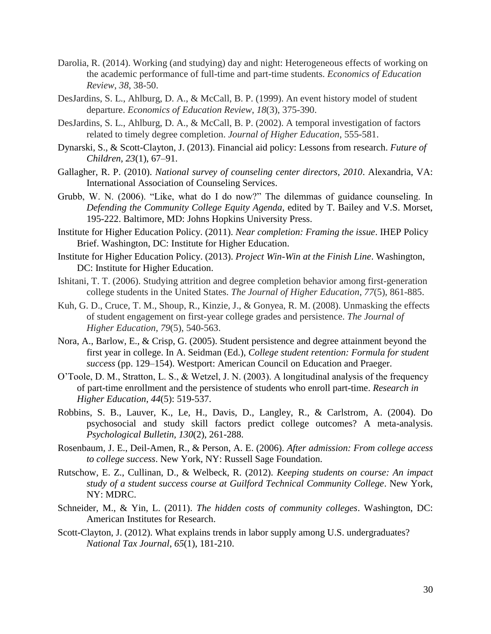- Darolia, R. (2014). Working (and studying) day and night: Heterogeneous effects of working on the academic performance of full-time and part-time students. *Economics of Education Review*, *38*, 38-50.
- DesJardins, S. L., Ahlburg, D. A., & McCall, B. P. (1999). An event history model of student departure. *Economics of Education Review*, *18*(3), 375-390.
- DesJardins, S. L., Ahlburg, D. A., & McCall, B. P. (2002). A temporal investigation of factors related to timely degree completion. *Journal of Higher Education*, 555-581.
- Dynarski, S., & Scott-Clayton, J. (2013). Financial aid policy: Lessons from research. *Future of Children*, *23*(1), 67–91.
- Gallagher, R. P. (2010). *National survey of counseling center directors, 2010*. Alexandria, VA: International Association of Counseling Services.
- Grubb, W. N. (2006). "Like, what do I do now?" The dilemmas of guidance counseling. In *Defending the Community College Equity Agenda*, edited by T. Bailey and V.S. Morset, 195-222. Baltimore, MD: Johns Hopkins University Press.
- Institute for Higher Education Policy. (2011). *Near completion: Framing the issue*. IHEP Policy Brief. Washington, DC: Institute for Higher Education.
- Institute for Higher Education Policy. (2013). *Project Win-Win at the Finish Line*. Washington, DC: Institute for Higher Education.
- Ishitani, T. T. (2006). Studying attrition and degree completion behavior among first-generation college students in the United States. *The Journal of Higher Education*, *77*(5), 861-885.
- Kuh, G. D., Cruce, T. M., Shoup, R., Kinzie, J., & Gonyea, R. M. (2008). Unmasking the effects of student engagement on first-year college grades and persistence. *The Journal of Higher Education*, *79*(5), 540-563.
- Nora, A., Barlow, E., & Crisp, G. (2005). Student persistence and degree attainment beyond the first year in college. In A. Seidman (Ed.), *College student retention: Formula for student success* (pp. 129–154). Westport: American Council on Education and Praeger.
- O'Toole, D. M., Stratton, L. S., & Wetzel, J. N. (2003). A longitudinal analysis of the frequency of part-time enrollment and the persistence of students who enroll part-time. *Research in Higher Education*, *44*(5): 519-537.
- Robbins, S. B., Lauver, K., Le, H., Davis, D., Langley, R., & Carlstrom, A. (2004). Do psychosocial and study skill factors predict college outcomes? A meta-analysis. *Psychological Bulletin, 130*(2), 261-288.
- Rosenbaum, J. E., Deil-Amen, R., & Person, A. E. (2006). *After admission: From college access to college success*. New York, NY: Russell Sage Foundation.
- Rutschow, E. Z., Cullinan, D., & Welbeck, R. (2012). *Keeping students on course: An impact study of a student success course at Guilford Technical Community College*. New York, NY: MDRC.
- Schneider, M., & Yin, L. (2011). *The hidden costs of community colleges*. Washington, DC: American Institutes for Research.
- Scott-Clayton, J. (2012). What explains trends in labor supply among U.S. undergraduates? *National Tax Journal*, *65*(1), 181-210.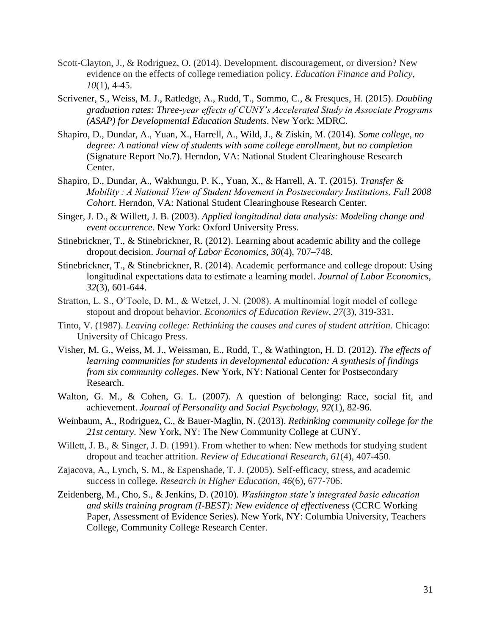- Scott-Clayton, J., & Rodriguez, O. (2014). Development, discouragement, or diversion? New evidence on the effects of college remediation policy. *Education Finance and Policy*, *10*(1), 4-45.
- Scrivener, S., Weiss, M. J., Ratledge, A., Rudd, T., Sommo, C., & Fresques, H. (2015). *Doubling graduation rates: Three-year effects of CUNY's Accelerated Study in Associate Programs (ASAP) for Developmental Education Students*. New York: MDRC.
- Shapiro, D., Dundar, A., Yuan, X., Harrell, A., Wild, J., & Ziskin, M. (2014). *Some college, no degree: A national view of students with some college enrollment, but no completion* (Signature Report No.7). Herndon, VA: National Student Clearinghouse Research Center.
- Shapiro, D., Dundar, A., Wakhungu, P. K., Yuan, X., & Harrell, A. T. (2015). *Transfer & Mobility : A National View of Student Movement in Postsecondary Institutions, Fall 2008 Cohort*. Herndon, VA: National Student Clearinghouse Research Center.
- Singer, J. D., & Willett, J. B. (2003). *Applied longitudinal data analysis: Modeling change and event occurrence*. New York: Oxford University Press.
- Stinebrickner, T., & Stinebrickner, R. (2012). Learning about academic ability and the college dropout decision. *Journal of Labor Economics*, *30*(4), 707–748.
- Stinebrickner, T., & Stinebrickner, R. (2014). Academic performance and college dropout: Using longitudinal expectations data to estimate a learning model. *Journal of Labor Economics*, *32*(3), 601-644.
- Stratton, L. S., O'Toole, D. M., & Wetzel, J. N. (2008). A multinomial logit model of college stopout and dropout behavior. *Economics of Education Review*, *27*(3), 319-331.
- Tinto, V. (1987). *Leaving college: Rethinking the causes and cures of student attrition*. Chicago: University of Chicago Press.
- Visher, M. G., Weiss, M. J., Weissman, E., Rudd, T., & Wathington, H. D. (2012). *The effects of learning communities for students in developmental education: A synthesis of findings from six community colleges*. New York, NY: National Center for Postsecondary Research.
- Walton, G. M., & Cohen, G. L. (2007). A question of belonging: Race, social fit, and achievement. *Journal of Personality and Social Psychology, 92*(1), 82-96.
- Weinbaum, A., Rodriguez, C., & Bauer-Maglin, N. (2013). *Rethinking community college for the 21st century*. New York, NY: The New Community College at CUNY.
- Willett, J. B., & Singer, J. D. (1991). From whether to when: New methods for studying student dropout and teacher attrition. *Review of Educational Research*, *61*(4), 407-450.
- Zajacova, A., Lynch, S. M., & Espenshade, T. J. (2005). Self-efficacy, stress, and academic success in college. *Research in Higher Education*, *46*(6), 677-706.
- Zeidenberg, M., Cho, S., & Jenkins, D. (2010). *Washington state's integrated basic education and skills training program (I-BEST): New evidence of effectiveness* (CCRC Working Paper, Assessment of Evidence Series). New York, NY: Columbia University, Teachers College, Community College Research Center.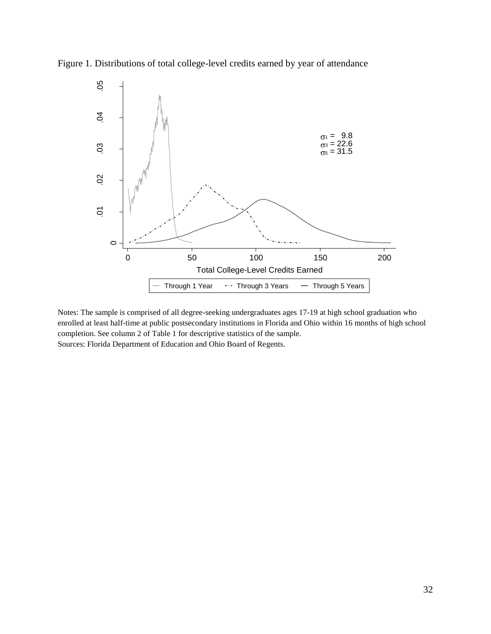

Figure 1. Distributions of total college-level credits earned by year of attendance

Notes: The sample is comprised of all degree-seeking undergraduates ages 17-19 at high school graduation who enrolled at least half-time at public postsecondary institutions in Florida and Ohio within 16 months of high school completion. See column 2 of Table 1 for descriptive statistics of the sample. Sources: Florida Department of Education and Ohio Board of Regents.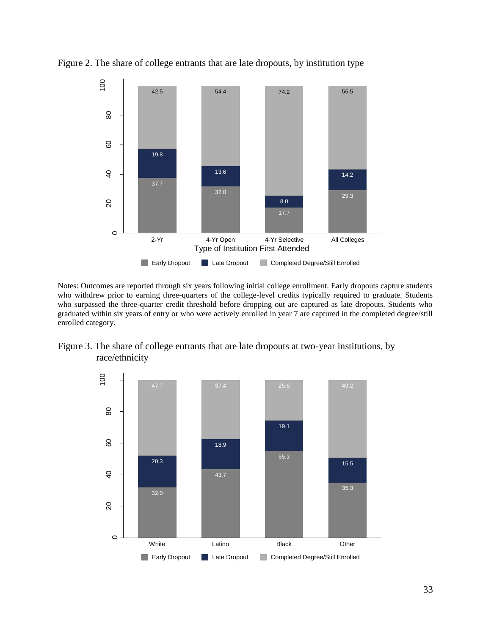

Figure 2. The share of college entrants that are late dropouts, by institution type

Notes: Outcomes are reported through six years following initial college enrollment. Early dropouts capture students who withdrew prior to earning three-quarters of the college-level credits typically required to graduate. Students who surpassed the three-quarter credit threshold before dropping out are captured as late dropouts. Students who graduated within six years of entry or who were actively enrolled in year 7 are captured in the completed degree/still enrolled category.



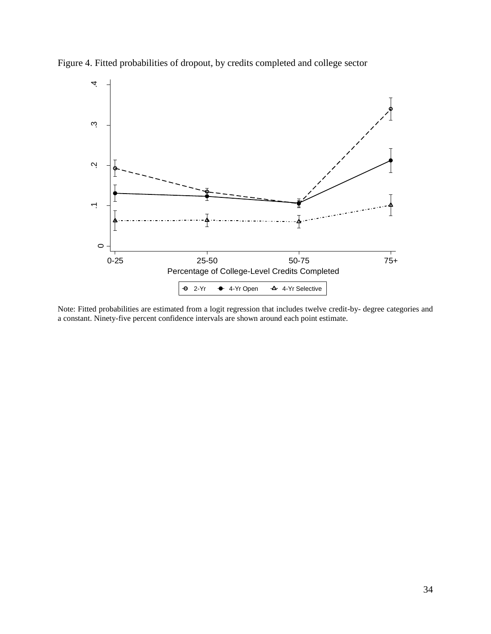

Figure 4. Fitted probabilities of dropout, by credits completed and college sector

Note: Fitted probabilities are estimated from a logit regression that includes twelve credit-by- degree categories and a constant. Ninety-five percent confidence intervals are shown around each point estimate.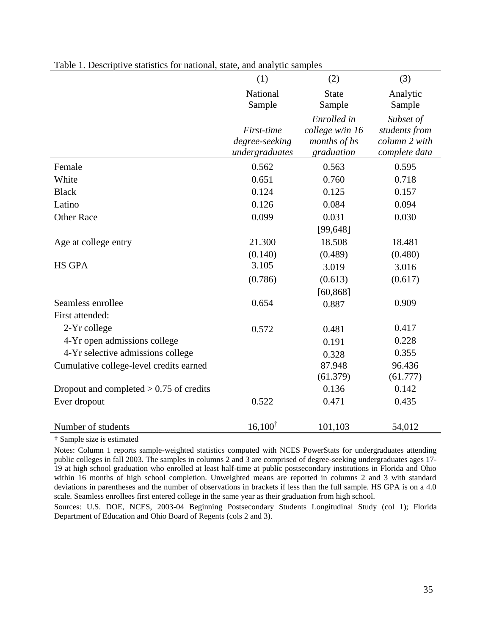|                                           | (1)                | (2)             | (3)           |
|-------------------------------------------|--------------------|-----------------|---------------|
|                                           | National           | <b>State</b>    | Analytic      |
|                                           | Sample             | Sample          | Sample        |
|                                           |                    | Enrolled in     | Subset of     |
|                                           | First-time         | college w/in 16 | students from |
|                                           | degree-seeking     | months of hs    | column 2 with |
|                                           | undergraduates     | graduation      | complete data |
| Female                                    | 0.562              | 0.563           | 0.595         |
| White                                     | 0.651              | 0.760           | 0.718         |
| <b>Black</b>                              | 0.124              | 0.125           | 0.157         |
| Latino                                    | 0.126              | 0.084           | 0.094         |
| <b>Other Race</b>                         | 0.099              | 0.031           | 0.030         |
|                                           |                    | [99, 648]       |               |
| Age at college entry                      | 21.300             | 18.508          | 18.481        |
|                                           | (0.140)            | (0.489)         | (0.480)       |
| <b>HS GPA</b>                             | 3.105              | 3.019           | 3.016         |
|                                           | (0.786)            | (0.613)         | (0.617)       |
|                                           |                    | [60, 868]       |               |
| Seamless enrollee                         | 0.654              | 0.887           | 0.909         |
| First attended:                           |                    |                 |               |
| 2-Yr college                              | 0.572              | 0.481           | 0.417         |
| 4-Yr open admissions college              |                    | 0.191           | 0.228         |
| 4-Yr selective admissions college         |                    | 0.328           | 0.355         |
| Cumulative college-level credits earned   |                    | 87.948          | 96.436        |
|                                           |                    | (61.379)        | (61.777)      |
| Dropout and completed $> 0.75$ of credits |                    | 0.136           | 0.142         |
| Ever dropout                              | 0.522              | 0.471           | 0.435         |
|                                           |                    |                 |               |
| Number of students                        | $16,100^{\dagger}$ | 101,103         | 54,012        |

## Table 1. Descriptive statistics for national, state, and analytic samples

† Sample size is estimated

Notes: Column 1 reports sample-weighted statistics computed with NCES PowerStats for undergraduates attending public colleges in fall 2003. The samples in columns 2 and 3 are comprised of degree-seeking undergraduates ages 17- 19 at high school graduation who enrolled at least half-time at public postsecondary institutions in Florida and Ohio within 16 months of high school completion. Unweighted means are reported in columns 2 and 3 with standard deviations in parentheses and the number of observations in brackets if less than the full sample. HS GPA is on a 4.0 scale. Seamless enrollees first entered college in the same year as their graduation from high school.

Sources: U.S. DOE, NCES, 2003-04 Beginning Postsecondary Students Longitudinal Study (col 1); Florida Department of Education and Ohio Board of Regents (cols 2 and 3).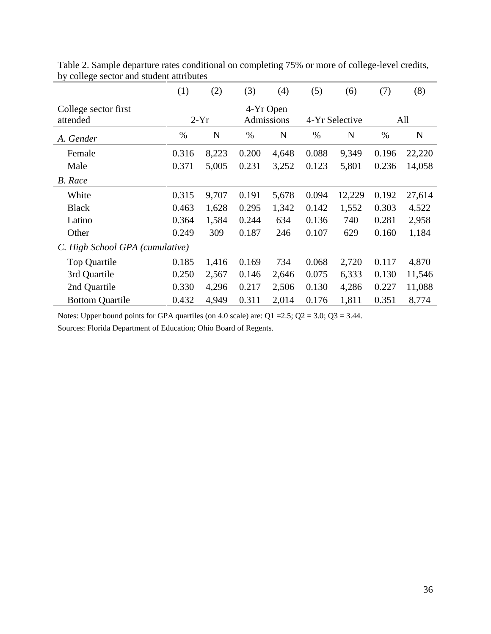|                                  | (1)   | (2)    | (3)   | (4)                     | (5)   | (6)            | (7)   | (8)    |
|----------------------------------|-------|--------|-------|-------------------------|-------|----------------|-------|--------|
| College sector first<br>attended |       | $2-Yr$ |       | 4-Yr Open<br>Admissions |       | 4-Yr Selective |       | All    |
| A. Gender                        | %     | N      | $\%$  | N                       | $\%$  | N              | %     | N      |
| Female                           | 0.316 | 8,223  | 0.200 | 4,648                   | 0.088 | 9,349          | 0.196 | 22,220 |
| Male                             | 0.371 | 5,005  | 0.231 | 3,252                   | 0.123 | 5,801          | 0.236 | 14,058 |
| <b>B.</b> Race                   |       |        |       |                         |       |                |       |        |
| White                            | 0.315 | 9,707  | 0.191 | 5,678                   | 0.094 | 12,229         | 0.192 | 27,614 |
| <b>Black</b>                     | 0.463 | 1,628  | 0.295 | 1,342                   | 0.142 | 1,552          | 0.303 | 4,522  |
| Latino                           | 0.364 | 1,584  | 0.244 | 634                     | 0.136 | 740            | 0.281 | 2,958  |
| Other                            | 0.249 | 309    | 0.187 | 246                     | 0.107 | 629            | 0.160 | 1,184  |
| C. High School GPA (cumulative)  |       |        |       |                         |       |                |       |        |
| <b>Top Quartile</b>              | 0.185 | 1,416  | 0.169 | 734                     | 0.068 | 2,720          | 0.117 | 4,870  |
| 3rd Quartile                     | 0.250 | 2,567  | 0.146 | 2,646                   | 0.075 | 6,333          | 0.130 | 11,546 |
| 2nd Quartile                     | 0.330 | 4,296  | 0.217 | 2,506                   | 0.130 | 4,286          | 0.227 | 11,088 |
| <b>Bottom Quartile</b>           | 0.432 | 4,949  | 0.311 | 2,014                   | 0.176 | 1,811          | 0.351 | 8,774  |

Table 2. Sample departure rates conditional on completing 75% or more of college-level credits, by college sector and student attributes

Notes: Upper bound points for GPA quartiles (on 4.0 scale) are:  $Q1 = 2.5$ ;  $Q2 = 3.0$ ;  $Q3 = 3.44$ .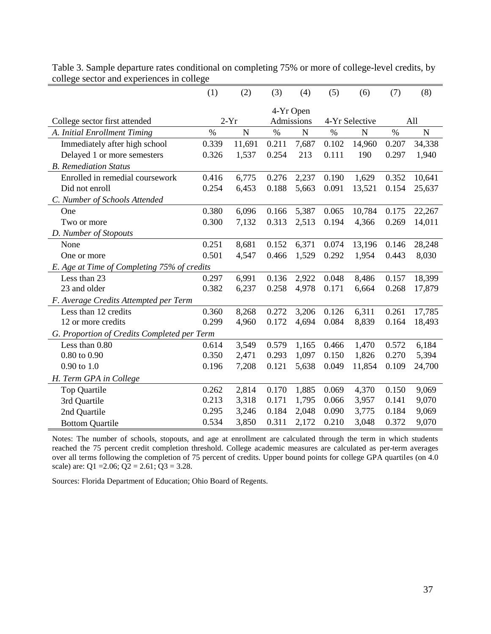|                                             | (1)   | (2)         | (3)   | (4)        | (5)   | (6)            | (7)   | (8)         |
|---------------------------------------------|-------|-------------|-------|------------|-------|----------------|-------|-------------|
|                                             |       |             |       | 4-Yr Open  |       |                |       |             |
| College sector first attended               |       | $2-Yr$      |       | Admissions |       | 4-Yr Selective |       | All         |
| A. Initial Enrollment Timing                | $\%$  | $\mathbf N$ | $\%$  | ${\bf N}$  | $\%$  | N              | $\%$  | $\mathbf N$ |
| Immediately after high school               | 0.339 | 11,691      | 0.211 | 7,687      | 0.102 | 14,960         | 0.207 | 34,338      |
| Delayed 1 or more semesters                 | 0.326 | 1,537       | 0.254 | 213        | 0.111 | 190            | 0.297 | 1,940       |
| <b>B.</b> Remediation Status                |       |             |       |            |       |                |       |             |
| Enrolled in remedial coursework             | 0.416 | 6,775       | 0.276 | 2,237      | 0.190 | 1,629          | 0.352 | 10,641      |
| Did not enroll                              | 0.254 | 6,453       | 0.188 | 5,663      | 0.091 | 13,521         | 0.154 | 25,637      |
| C. Number of Schools Attended               |       |             |       |            |       |                |       |             |
| One                                         | 0.380 | 6,096       | 0.166 | 5,387      | 0.065 | 10,784         | 0.175 | 22,267      |
| Two or more                                 | 0.300 | 7,132       | 0.313 | 2,513      | 0.194 | 4,366          | 0.269 | 14,011      |
| D. Number of Stopouts                       |       |             |       |            |       |                |       |             |
| None                                        | 0.251 | 8,681       | 0.152 | 6,371      | 0.074 | 13,196         | 0.146 | 28,248      |
| One or more                                 | 0.501 | 4,547       | 0.466 | 1,529      | 0.292 | 1,954          | 0.443 | 8,030       |
| E. Age at Time of Completing 75% of credits |       |             |       |            |       |                |       |             |
| Less than 23                                | 0.297 | 6,991       | 0.136 | 2,922      | 0.048 | 8,486          | 0.157 | 18,399      |
| 23 and older                                | 0.382 | 6,237       | 0.258 | 4,978      | 0.171 | 6,664          | 0.268 | 17,879      |
| F. Average Credits Attempted per Term       |       |             |       |            |       |                |       |             |
| Less than 12 credits                        | 0.360 | 8,268       | 0.272 | 3,206      | 0.126 | 6,311          | 0.261 | 17,785      |
| 12 or more credits                          | 0.299 | 4,960       | 0.172 | 4,694      | 0.084 | 8,839          | 0.164 | 18,493      |
| G. Proportion of Credits Completed per Term |       |             |       |            |       |                |       |             |
| Less than 0.80                              | 0.614 | 3,549       | 0.579 | 1,165      | 0.466 | 1,470          | 0.572 | 6,184       |
| $0.80$ to $0.90$                            | 0.350 | 2,471       | 0.293 | 1,097      | 0.150 | 1,826          | 0.270 | 5,394       |
| $0.90$ to $1.0$                             | 0.196 | 7,208       | 0.121 | 5,638      | 0.049 | 11,854         | 0.109 | 24,700      |
| H. Term GPA in College                      |       |             |       |            |       |                |       |             |
| Top Quartile                                | 0.262 | 2,814       | 0.170 | 1,885      | 0.069 | 4,370          | 0.150 | 9,069       |
| 3rd Quartile                                | 0.213 | 3,318       | 0.171 | 1,795      | 0.066 | 3,957          | 0.141 | 9,070       |
| 2nd Quartile                                | 0.295 | 3,246       | 0.184 | 2,048      | 0.090 | 3,775          | 0.184 | 9,069       |
| <b>Bottom Quartile</b>                      | 0.534 | 3,850       | 0.311 | 2,172      | 0.210 | 3,048          | 0.372 | 9,070       |

Table 3. Sample departure rates conditional on completing 75% or more of college-level credits, by college sector and experiences in college

Notes: The number of schools, stopouts, and age at enrollment are calculated through the term in which students reached the 75 percent credit completion threshold. College academic measures are calculated as per-term averages over all terms following the completion of 75 percent of credits. Upper bound points for college GPA quartiles (on 4.0 scale) are: Q1 = 2.06; Q2 = 2.61; Q3 = 3.28.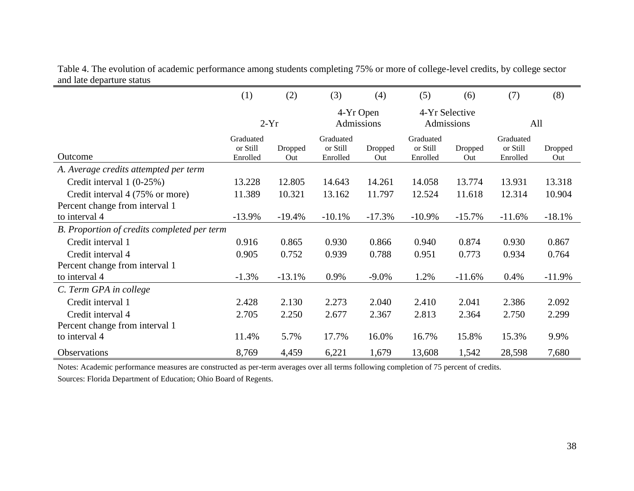Table 4. The evolution of academic performance among students completing 75% or more of college-level credits, by college sector and late departure status

| ma nuo uopuruno suums                       |                                   |                |                                   |                |                                   |                |                                   |                |
|---------------------------------------------|-----------------------------------|----------------|-----------------------------------|----------------|-----------------------------------|----------------|-----------------------------------|----------------|
|                                             | (1)                               | (2)            | (3)                               | (4)            | (5)                               | (6)            | (7)                               | (8)            |
|                                             | $2-Yr$                            |                | 4-Yr Open<br>Admissions           |                | 4-Yr Selective<br>Admissions      |                | All                               |                |
| Outcome                                     | Graduated<br>or Still<br>Enrolled | Dropped<br>Out | Graduated<br>or Still<br>Enrolled | Dropped<br>Out | Graduated<br>or Still<br>Enrolled | Dropped<br>Out | Graduated<br>or Still<br>Enrolled | Dropped<br>Out |
| A. Average credits attempted per term       |                                   |                |                                   |                |                                   |                |                                   |                |
| Credit interval 1 (0-25%)                   | 13.228                            | 12.805         | 14.643                            | 14.261         | 14.058                            | 13.774         | 13.931                            | 13.318         |
| Credit interval 4 (75% or more)             | 11.389                            | 10.321         | 13.162                            | 11.797         | 12.524                            | 11.618         | 12.314                            | 10.904         |
| Percent change from interval 1              |                                   |                |                                   |                |                                   |                |                                   |                |
| to interval 4                               | $-13.9%$                          | $-19.4%$       | $-10.1%$                          | $-17.3%$       | $-10.9%$                          | $-15.7%$       | $-11.6%$                          | $-18.1%$       |
| B. Proportion of credits completed per term |                                   |                |                                   |                |                                   |                |                                   |                |
| Credit interval 1                           | 0.916                             | 0.865          | 0.930                             | 0.866          | 0.940                             | 0.874          | 0.930                             | 0.867          |
| Credit interval 4                           | 0.905                             | 0.752          | 0.939                             | 0.788          | 0.951                             | 0.773          | 0.934                             | 0.764          |
| Percent change from interval 1              |                                   |                |                                   |                |                                   |                |                                   |                |
| to interval 4                               | $-1.3%$                           | $-13.1%$       | 0.9%                              | $-9.0\%$       | 1.2%                              | $-11.6%$       | 0.4%                              | $-11.9%$       |
| C. Term GPA in college                      |                                   |                |                                   |                |                                   |                |                                   |                |
| Credit interval 1                           | 2.428                             | 2.130          | 2.273                             | 2.040          | 2.410                             | 2.041          | 2.386                             | 2.092          |
| Credit interval 4                           | 2.705                             | 2.250          | 2.677                             | 2.367          | 2.813                             | 2.364          | 2.750                             | 2.299          |
| Percent change from interval 1              |                                   |                |                                   |                |                                   |                |                                   |                |
| to interval 4                               | 11.4%                             | 5.7%           | 17.7%                             | 16.0%          | 16.7%                             | 15.8%          | 15.3%                             | 9.9%           |
| <b>Observations</b>                         | 8,769                             | 4,459          | 6,221                             | 1,679          | 13,608                            | 1,542          | 28,598                            | 7,680          |

Notes: Academic performance measures are constructed as per-term averages over all terms following completion of 75 percent of credits.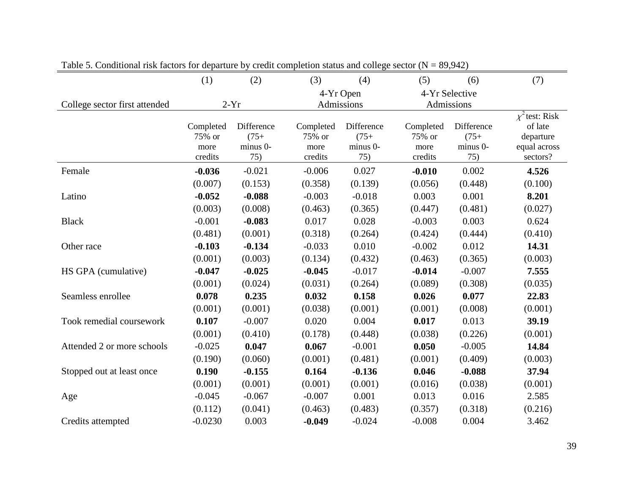|                               | (1)                                    | (2)                                      | (3)                                    | (4)                                      | (5)                                    | (6)                                      | (7)                                                                     |
|-------------------------------|----------------------------------------|------------------------------------------|----------------------------------------|------------------------------------------|----------------------------------------|------------------------------------------|-------------------------------------------------------------------------|
|                               |                                        |                                          |                                        | 4-Yr Open                                |                                        | 4-Yr Selective                           |                                                                         |
| College sector first attended |                                        | $2-Yr$                                   |                                        | Admissions                               |                                        | Admissions                               |                                                                         |
|                               | Completed<br>75% or<br>more<br>credits | Difference<br>$(75+)$<br>minus 0-<br>75) | Completed<br>75% or<br>more<br>credits | Difference<br>$(75+)$<br>minus 0-<br>75) | Completed<br>75% or<br>more<br>credits | Difference<br>$(75+)$<br>minus 0-<br>75) | $\chi^2$ test: Risk<br>of late<br>departure<br>equal across<br>sectors? |
| Female                        | $-0.036$                               | $-0.021$                                 | $-0.006$                               | 0.027                                    | $-0.010$                               | 0.002                                    | 4.526                                                                   |
|                               | (0.007)                                | (0.153)                                  | (0.358)                                | (0.139)                                  | (0.056)                                | (0.448)                                  | (0.100)                                                                 |
| Latino                        | $-0.052$                               | $-0.088$                                 | $-0.003$                               | $-0.018$                                 | 0.003                                  | 0.001                                    | 8.201                                                                   |
|                               | (0.003)                                | (0.008)                                  | (0.463)                                | (0.365)                                  | (0.447)                                | (0.481)                                  | (0.027)                                                                 |
| <b>Black</b>                  | $-0.001$                               | $-0.083$                                 | 0.017                                  | 0.028                                    | $-0.003$                               | 0.003                                    | 0.624                                                                   |
|                               | (0.481)                                | (0.001)                                  | (0.318)                                | (0.264)                                  | (0.424)                                | (0.444)                                  | (0.410)                                                                 |
| Other race                    | $-0.103$                               | $-0.134$                                 | $-0.033$                               | 0.010                                    | $-0.002$                               | 0.012                                    | 14.31                                                                   |
|                               | (0.001)                                | (0.003)                                  | (0.134)                                | (0.432)                                  | (0.463)                                | (0.365)                                  | (0.003)                                                                 |
| HS GPA (cumulative)           | $-0.047$                               | $-0.025$                                 | $-0.045$                               | $-0.017$                                 | $-0.014$                               | $-0.007$                                 | 7.555                                                                   |
|                               | (0.001)                                | (0.024)                                  | (0.031)                                | (0.264)                                  | (0.089)                                | (0.308)                                  | (0.035)                                                                 |
| Seamless enrollee             | 0.078                                  | 0.235                                    | 0.032                                  | 0.158                                    | 0.026                                  | 0.077                                    | 22.83                                                                   |
|                               | (0.001)                                | (0.001)                                  | (0.038)                                | (0.001)                                  | (0.001)                                | (0.008)                                  | (0.001)                                                                 |
| Took remedial coursework      | 0.107                                  | $-0.007$                                 | 0.020                                  | 0.004                                    | 0.017                                  | 0.013                                    | 39.19                                                                   |
|                               | (0.001)                                | (0.410)                                  | (0.178)                                | (0.448)                                  | (0.038)                                | (0.226)                                  | (0.001)                                                                 |
| Attended 2 or more schools    | $-0.025$                               | 0.047                                    | 0.067                                  | $-0.001$                                 | 0.050                                  | $-0.005$                                 | 14.84                                                                   |
|                               | (0.190)                                | (0.060)                                  | (0.001)                                | (0.481)                                  | (0.001)                                | (0.409)                                  | (0.003)                                                                 |
| Stopped out at least once     | 0.190                                  | $-0.155$                                 | 0.164                                  | $-0.136$                                 | 0.046                                  | $-0.088$                                 | 37.94                                                                   |
|                               | (0.001)                                | (0.001)                                  | (0.001)                                | (0.001)                                  | (0.016)                                | (0.038)                                  | (0.001)                                                                 |
| Age                           | $-0.045$                               | $-0.067$                                 | $-0.007$                               | 0.001                                    | 0.013                                  | 0.016                                    | 2.585                                                                   |
|                               | (0.112)                                | (0.041)                                  | (0.463)                                | (0.483)                                  | (0.357)                                | (0.318)                                  | (0.216)                                                                 |
| Credits attempted             | $-0.0230$                              | 0.003                                    | $-0.049$                               | $-0.024$                                 | $-0.008$                               | 0.004                                    | 3.462                                                                   |

Table 5. Conditional risk factors for departure by credit completion status and college sector  $(N = 89,942)$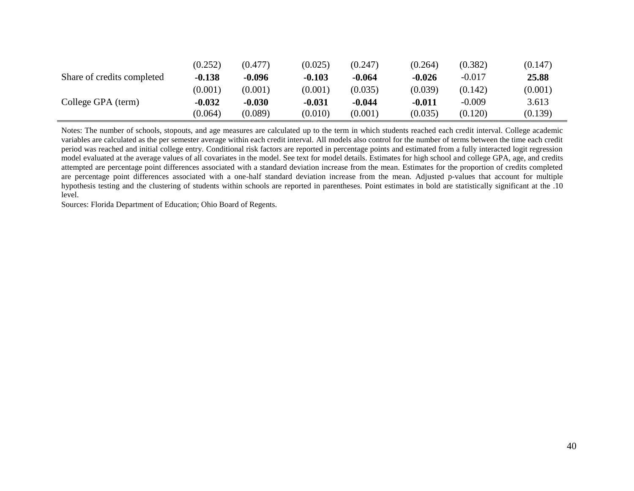|                            | (0.252)  | (0.477)  | (0.025)  | (0.247)  | (0.264)  | (0.382)  | (0.147) |
|----------------------------|----------|----------|----------|----------|----------|----------|---------|
| Share of credits completed | $-0.138$ | $-0.096$ | $-0.103$ | $-0.064$ | $-0.026$ | $-0.017$ | 25.88   |
|                            | (0.001)  | (0.001)  | (0.001)  | (0.035)  | (0.039)  | (0.142)  | (0.001) |
| College GPA (term)         | $-0.032$ | $-0.030$ | $-0.031$ | $-0.044$ | $-0.011$ | $-0.009$ | 3.613   |
|                            | (0.064)  | (0.089)  | (0.010)  | (0.001)  | (0.035)  | (0.120)  | (0.139) |

Notes: The number of schools, stopouts, and age measures are calculated up to the term in which students reached each credit interval. College academic variables are calculated as the per semester average within each credit interval. All models also control for the number of terms between the time each credit period was reached and initial college entry. Conditional risk factors are reported in percentage points and estimated from a fully interacted logit regression model evaluated at the average values of all covariates in the model. See text for model details. Estimates for high school and college GPA, age, and credits attempted are percentage point differences associated with a standard deviation increase from the mean. Estimates for the proportion of credits completed are percentage point differences associated with a one-half standard deviation increase from the mean. Adjusted p-values that account for multiple hypothesis testing and the clustering of students within schools are reported in parentheses. Point estimates in bold are statistically significant at the .10 level.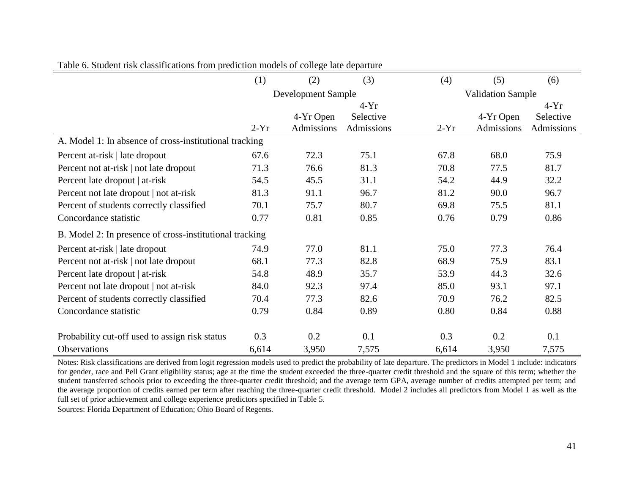|                                                         | (1)                | (2)        | (3)        | (4)    | (5)                      | (6)        |
|---------------------------------------------------------|--------------------|------------|------------|--------|--------------------------|------------|
|                                                         | Development Sample |            |            |        | <b>Validation Sample</b> |            |
|                                                         |                    |            | $4-Yr$     |        |                          | $4-Yr$     |
|                                                         |                    | 4-Yr Open  | Selective  |        | 4-Yr Open                | Selective  |
|                                                         | $2-Yr$             | Admissions | Admissions | $2-Yr$ | Admissions               | Admissions |
| A. Model 1: In absence of cross-institutional tracking  |                    |            |            |        |                          |            |
| Percent at-risk   late dropout                          | 67.6               | 72.3       | 75.1       | 67.8   | 68.0                     | 75.9       |
| Percent not at-risk   not late dropout                  | 71.3               | 76.6       | 81.3       | 70.8   | 77.5                     | 81.7       |
| Percent late dropout   at-risk                          | 54.5               | 45.5       | 31.1       | 54.2   | 44.9                     | 32.2       |
| Percent not late dropout   not at-risk                  | 81.3               | 91.1       | 96.7       | 81.2   | 90.0                     | 96.7       |
| Percent of students correctly classified                | 70.1               | 75.7       | 80.7       | 69.8   | 75.5                     | 81.1       |
| Concordance statistic                                   | 0.77               | 0.81       | 0.85       | 0.76   | 0.79                     | 0.86       |
| B. Model 2: In presence of cross-institutional tracking |                    |            |            |        |                          |            |
| Percent at-risk   late dropout                          | 74.9               | 77.0       | 81.1       | 75.0   | 77.3                     | 76.4       |
| Percent not at-risk   not late dropout                  | 68.1               | 77.3       | 82.8       | 68.9   | 75.9                     | 83.1       |
| Percent late dropout   at-risk                          | 54.8               | 48.9       | 35.7       | 53.9   | 44.3                     | 32.6       |
| Percent not late dropout   not at-risk                  | 84.0               | 92.3       | 97.4       | 85.0   | 93.1                     | 97.1       |
| Percent of students correctly classified                | 70.4               | 77.3       | 82.6       | 70.9   | 76.2                     | 82.5       |
| Concordance statistic                                   | 0.79               | 0.84       | 0.89       | 0.80   | 0.84                     | 0.88       |
| Probability cut-off used to assign risk status          | 0.3                | 0.2        | 0.1        | 0.3    | 0.2                      | 0.1        |
| Observations                                            | 6,614              | 3,950      | 7,575      | 6,614  | 3,950                    | 7,575      |

| Table 6. Student risk classifications from prediction models of college late departure |  |  |
|----------------------------------------------------------------------------------------|--|--|
|                                                                                        |  |  |

Notes: Risk classifications are derived from logit regression models used to predict the probability of late departure. The predictors in Model 1 include: indicators for gender, race and Pell Grant eligibility status; age at the time the student exceeded the three-quarter credit threshold and the square of this term; whether the student transferred schools prior to exceeding the three-quarter credit threshold; and the average term GPA, average number of credits attempted per term; and the average proportion of credits earned per term after reaching the three-quarter credit threshold. Model 2 includes all predictors from Model 1 as well as the full set of prior achievement and college experience predictors specified in Table 5.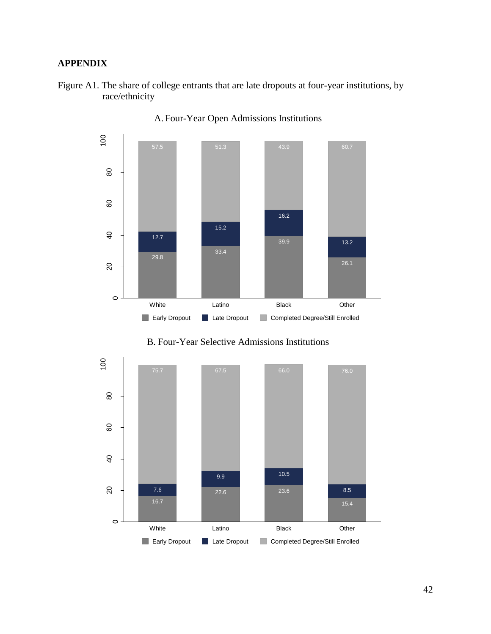# **APPENDIX**





A. Four-Year Open Admissions Institutions

B. Four-Year Selective Admissions Institutions

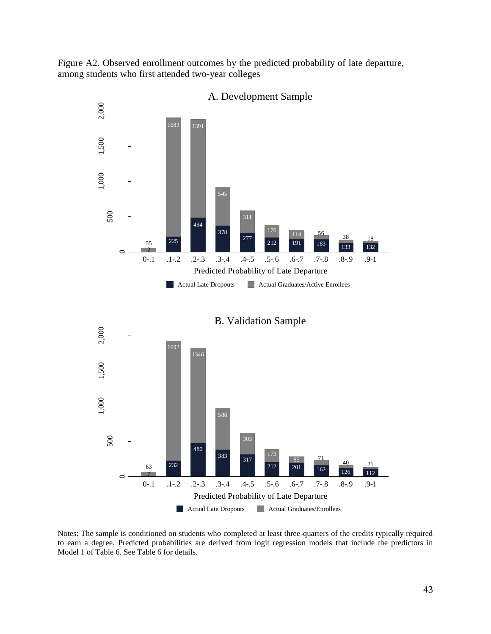Figure A2. Observed enrollment outcomes by the predicted probability of late departure, among students who first attended two-year colleges



B. Validation Sample 2,000 1,000 1,500 2,000 1,500 1,000 232  $\circ$ 0-.1 .1-.2 .2-.3 .3-.4 .4-.5 .5-.6 .6-.7 .7-.8 .8-.9 .9-1 Predicted Probability of Late Departure Actual Late Dropouts Actual Graduates/Enrollees

Notes: The sample is conditioned on students who completed at least three-quarters of the credits typically required to earn a degree. Predicted probabilities are derived from logit regression models that include the predictors in Model 1 of Table 6. See Table 6 for details.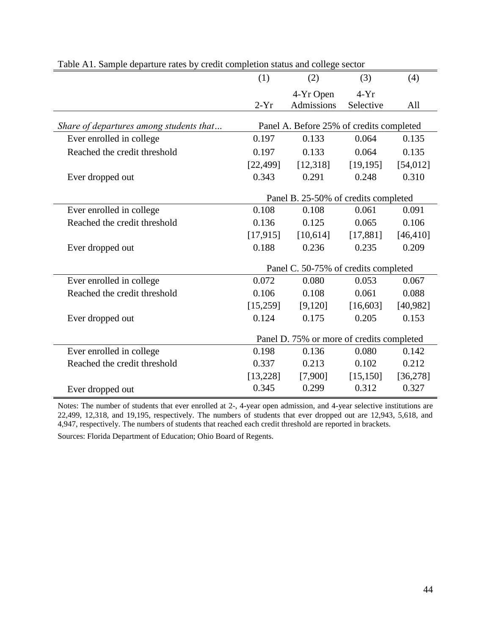|                                         | (1)       | (2)                                       | (3)       | (4)       |
|-----------------------------------------|-----------|-------------------------------------------|-----------|-----------|
|                                         |           | 4-Yr Open                                 | $4-Yr$    |           |
|                                         | $2-Yr$    | <b>Admissions</b>                         | Selective | All       |
| Share of departures among students that |           | Panel A. Before 25% of credits completed  |           |           |
| Ever enrolled in college                | 0.197     | 0.133                                     | 0.064     | 0.135     |
| Reached the credit threshold            | 0.197     | 0.133                                     | 0.064     | 0.135     |
|                                         | [22, 499] | [12,318]                                  | [19, 195] | [54, 012] |
| Ever dropped out                        | 0.343     | 0.291                                     | 0.248     | 0.310     |
|                                         |           | Panel B. 25-50% of credits completed      |           |           |
| Ever enrolled in college                | 0.108     | 0.108                                     | 0.061     | 0.091     |
| Reached the credit threshold            | 0.136     | 0.125                                     | 0.065     | 0.106     |
|                                         | [17, 915] | [10,614]                                  | [17,881]  | [46, 410] |
| Ever dropped out                        | 0.188     | 0.236                                     | 0.235     | 0.209     |
|                                         |           | Panel C. 50-75% of credits completed      |           |           |
| Ever enrolled in college                | 0.072     | 0.080                                     | 0.053     | 0.067     |
| Reached the credit threshold            | 0.106     | 0.108                                     | 0.061     | 0.088     |
|                                         | [15,259]  | [9,120]                                   | [16,603]  | [40,982]  |
| Ever dropped out                        | 0.124     | 0.175                                     | 0.205     | 0.153     |
|                                         |           | Panel D. 75% or more of credits completed |           |           |
| Ever enrolled in college                | 0.198     | 0.136                                     | 0.080     | 0.142     |
| Reached the credit threshold            | 0.337     | 0.213                                     | 0.102     | 0.212     |
|                                         | [13, 228] | [7,900]                                   | [15, 150] | [36, 278] |
| Ever dropped out                        | 0.345     | 0.299                                     | 0.312     | 0.327     |

Table A1. Sample departure rates by credit completion status and college sector

Notes: The number of students that ever enrolled at 2-, 4-year open admission, and 4-year selective institutions are 22,499, 12,318, and 19,195, respectively. The numbers of students that ever dropped out are 12,943, 5,618, and 4,947, respectively. The numbers of students that reached each credit threshold are reported in brackets.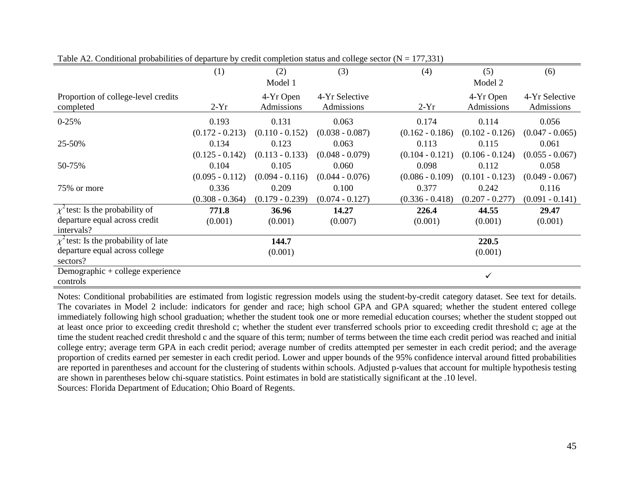|                                           | (1)               | (2)               | (3)               | (4)               | (5)               | (6)               |
|-------------------------------------------|-------------------|-------------------|-------------------|-------------------|-------------------|-------------------|
|                                           |                   | Model 1           |                   |                   | Model 2           |                   |
| Proportion of college-level credits       |                   | 4-Yr Open         | 4-Yr Selective    |                   | 4-Yr Open         | 4-Yr Selective    |
| completed                                 | $2-Yr$            | Admissions        | Admissions        | $2-Yr$            | Admissions        | Admissions        |
| $0-25%$                                   | 0.193             | 0.131             | 0.063             | 0.174             | 0.114             | 0.056             |
|                                           | $(0.172 - 0.213)$ | $(0.110 - 0.152)$ | $(0.038 - 0.087)$ | $(0.162 - 0.186)$ | $(0.102 - 0.126)$ | $(0.047 - 0.065)$ |
| 25-50%                                    | 0.134             | 0.123             | 0.063             | 0.113             | 0.115             | 0.061             |
|                                           | $(0.125 - 0.142)$ | $(0.113 - 0.133)$ | $(0.048 - 0.079)$ | $(0.104 - 0.121)$ | $(0.106 - 0.124)$ | $(0.055 - 0.067)$ |
| 50-75%                                    | 0.104             | 0.105             | 0.060             | 0.098             | 0.112             | 0.058             |
|                                           | $(0.095 - 0.112)$ | $(0.094 - 0.116)$ | $(0.044 - 0.076)$ | $(0.086 - 0.109)$ | $(0.101 - 0.123)$ | $(0.049 - 0.067)$ |
| 75% or more                               | 0.336             | 0.209             | 0.100             | 0.377             | 0.242             | 0.116             |
|                                           | $(0.308 - 0.364)$ | $(0.179 - 0.239)$ | $(0.074 - 0.127)$ | $(0.336 - 0.418)$ | $(0.207 - 0.277)$ | $(0.091 - 0.141)$ |
| $\chi^2$ test: Is the probability of      | 771.8             | 36.96             | 14.27             | 226.4             | 44.55             | 29.47             |
| departure equal across credit             | (0.001)           | (0.001)           | (0.007)           | (0.001)           | (0.001)           | (0.001)           |
| intervals?                                |                   |                   |                   |                   |                   |                   |
| $\chi^2$ test: Is the probability of late |                   | 144.7             |                   |                   | 220.5             |                   |
| departure equal across college            |                   | (0.001)           |                   |                   | (0.001)           |                   |
| sectors?                                  |                   |                   |                   |                   |                   |                   |
| Demographic + college experience          |                   |                   |                   |                   | ✓                 |                   |
| controls                                  |                   |                   |                   |                   |                   |                   |

Table A2. Conditional probabilities of departure by credit completion status and college sector ( $N = 177,331$ )

Notes: Conditional probabilities are estimated from logistic regression models using the student-by-credit category dataset. See text for details. The covariates in Model 2 include: indicators for gender and race; high school GPA and GPA squared; whether the student entered college immediately following high school graduation; whether the student took one or more remedial education courses; whether the student stopped out at least once prior to exceeding credit threshold c; whether the student ever transferred schools prior to exceeding credit threshold c; age at the time the student reached credit threshold c and the square of this term; number of terms between the time each credit period was reached and initial college entry; average term GPA in each credit period; average number of credits attempted per semester in each credit period; and the average proportion of credits earned per semester in each credit period. Lower and upper bounds of the 95% confidence interval around fitted probabilities are reported in parentheses and account for the clustering of students within schools. Adjusted p-values that account for multiple hypothesis testing are shown in parentheses below chi-square statistics. Point estimates in bold are statistically significant at the .10 level. Sources: Florida Department of Education; Ohio Board of Regents.